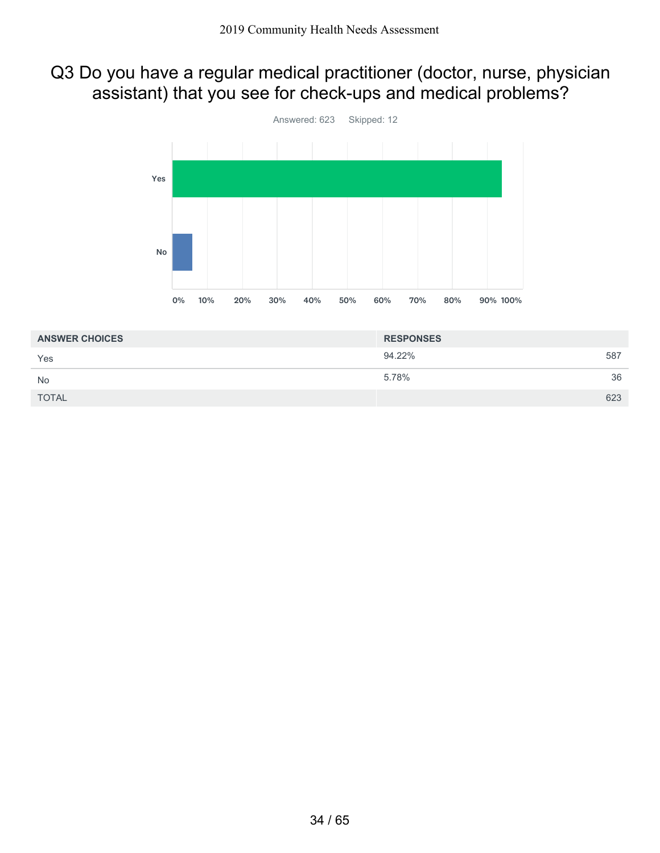### Q3 Do you have a regular medical practitioner (doctor, nurse, physician assistant) that you see for check-ups and medical problems?



| <b>ANSWER CHOICES</b> | <b>RESPONSES</b> |     |
|-----------------------|------------------|-----|
| Yes                   | 94.22%           | 587 |
| <b>No</b>             | 5.78%            | 36  |
| <b>TOTAL</b>          |                  | 623 |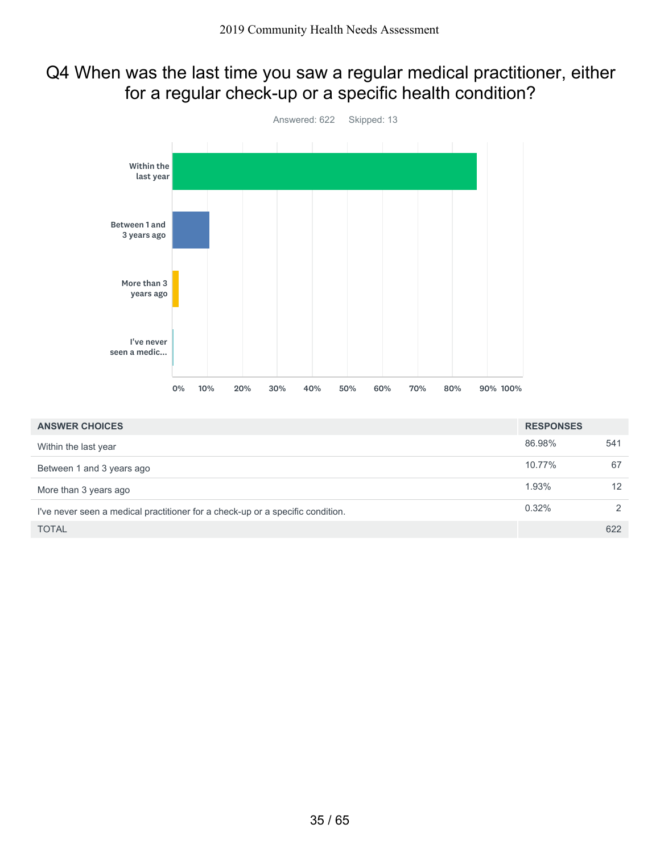## Q4 When was the last time you saw a regular medical practitioner, either for a regular check-up or a specific health condition?



| <b>ANSWER CHOICES</b>                                                          | <b>RESPONSES</b> |               |
|--------------------------------------------------------------------------------|------------------|---------------|
| Within the last year                                                           | 86.98%           | 541           |
| Between 1 and 3 years ago                                                      | 10.77%           | 67            |
| More than 3 years ago                                                          | 1.93%            | 12            |
| I've never seen a medical practitioner for a check-up or a specific condition. | 0.32%            | $\mathcal{P}$ |
| <b>TOTAL</b>                                                                   |                  | 622           |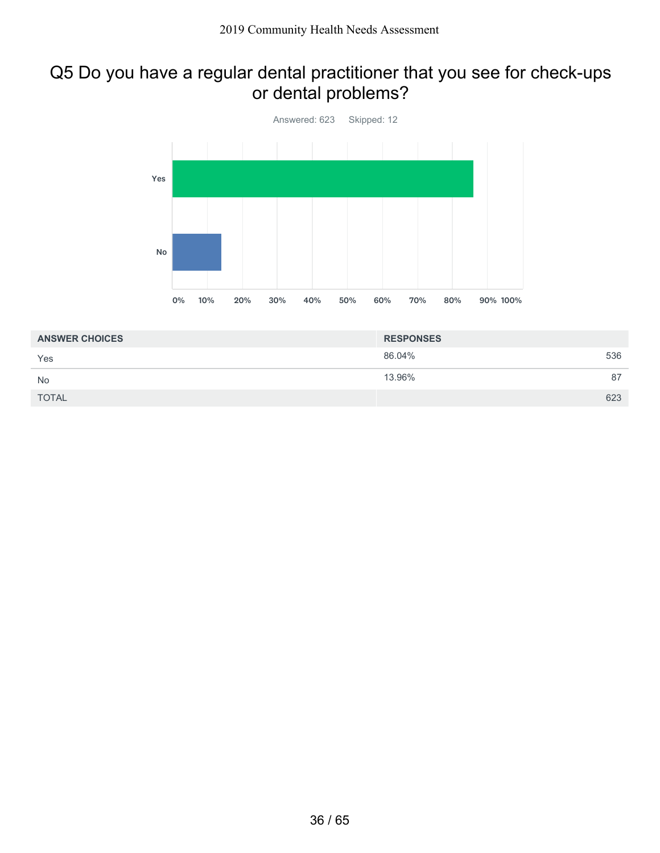### Q5 Do you have a regular dental practitioner that you see for check-ups or dental problems?



| <b>ANSWER CHOICES</b> | <b>RESPONSES</b> |     |
|-----------------------|------------------|-----|
| Yes                   | 86.04%           | 536 |
| <b>No</b>             | 13.96%           | 87  |
| <b>TOTAL</b>          |                  | 623 |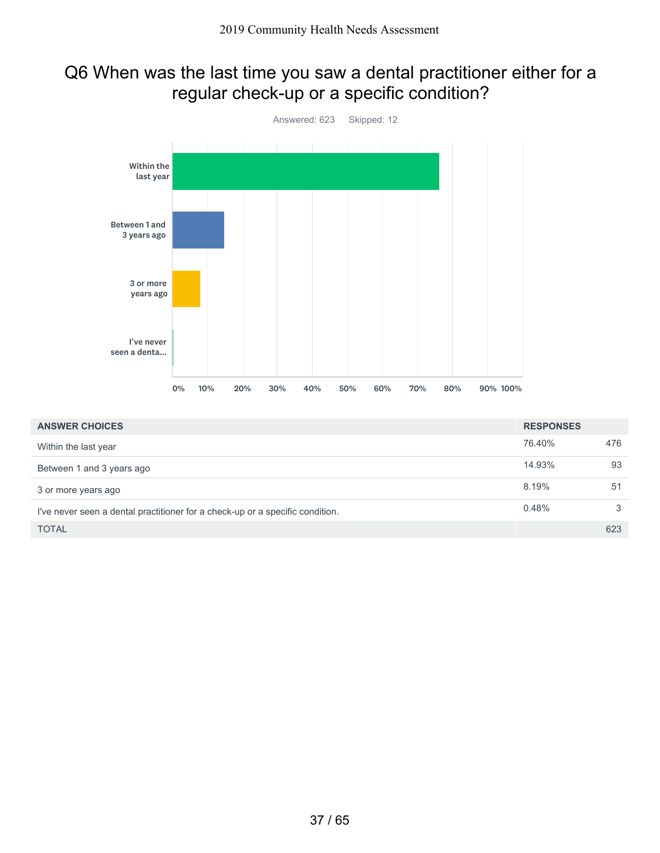## Q6 When was the last time you saw a dental practitioner either for a regular check-up or a specific condition?



| <b>ANSWER CHOICES</b>                                                         | <b>RESPONSES</b> |     |
|-------------------------------------------------------------------------------|------------------|-----|
| Within the last year                                                          | 76.40%           | 476 |
| Between 1 and 3 years ago                                                     | 14.93%           | 93  |
| 3 or more years ago                                                           | 8.19%            | 51  |
| I've never seen a dental practitioner for a check-up or a specific condition. | 0.48%            | 3   |
| <b>TOTAL</b>                                                                  |                  | 623 |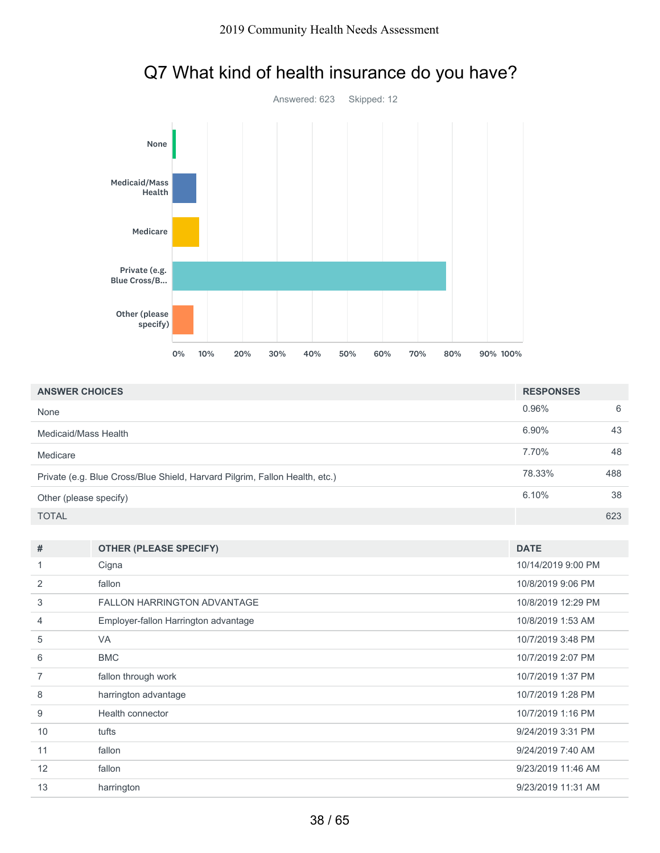

# Q7 What kind of health insurance do you have?

| <b>ANSWER CHOICES</b>                                                       | <b>RESPONSES</b> |     |
|-----------------------------------------------------------------------------|------------------|-----|
| None                                                                        | 0.96%            | 6   |
| Medicaid/Mass Health                                                        | 6.90%            | 43  |
| Medicare                                                                    | 7.70%            | 48  |
| Private (e.g. Blue Cross/Blue Shield, Harvard Pilgrim, Fallon Health, etc.) | 78.33%           | 488 |
| Other (please specify)                                                      | 6.10%            | 38  |
| <b>TOTAL</b>                                                                |                  | 623 |

| #  | <b>OTHER (PLEASE SPECIFY)</b>        | <b>DATE</b>        |
|----|--------------------------------------|--------------------|
|    | Cigna                                | 10/14/2019 9:00 PM |
| 2  | fallon                               | 10/8/2019 9:06 PM  |
| 3  | <b>FALLON HARRINGTON ADVANTAGE</b>   | 10/8/2019 12:29 PM |
| 4  | Employer-fallon Harrington advantage | 10/8/2019 1:53 AM  |
| 5  | <b>VA</b>                            | 10/7/2019 3:48 PM  |
| 6  | <b>BMC</b>                           | 10/7/2019 2:07 PM  |
| 7  | fallon through work                  | 10/7/2019 1:37 PM  |
| 8  | harrington advantage                 | 10/7/2019 1:28 PM  |
| 9  | Health connector                     | 10/7/2019 1:16 PM  |
| 10 | tufts                                | 9/24/2019 3:31 PM  |
| 11 | fallon                               | 9/24/2019 7:40 AM  |
| 12 | fallon                               | 9/23/2019 11:46 AM |
| 13 | harrington                           | 9/23/2019 11:31 AM |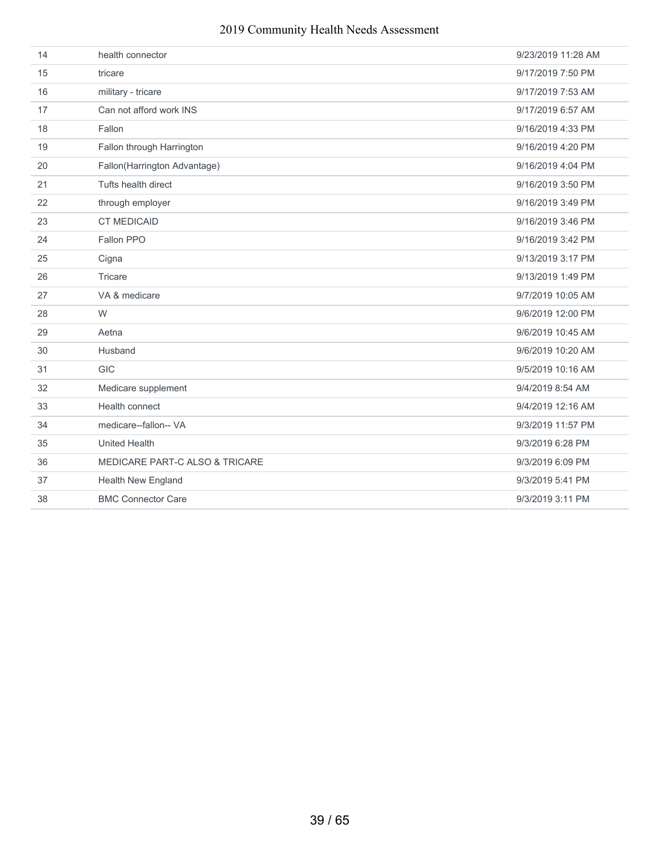| 14 | health connector                          | 9/23/2019 11:28 AM |
|----|-------------------------------------------|--------------------|
| 15 | tricare                                   | 9/17/2019 7:50 PM  |
| 16 | military - tricare                        | 9/17/2019 7:53 AM  |
| 17 | Can not afford work INS                   | 9/17/2019 6:57 AM  |
| 18 | Fallon                                    | 9/16/2019 4:33 PM  |
| 19 | Fallon through Harrington                 | 9/16/2019 4:20 PM  |
| 20 | Fallon(Harrington Advantage)              | 9/16/2019 4:04 PM  |
| 21 | Tufts health direct                       | 9/16/2019 3:50 PM  |
| 22 | through employer                          | 9/16/2019 3:49 PM  |
| 23 | <b>CT MEDICAID</b>                        | 9/16/2019 3:46 PM  |
| 24 | Fallon PPO                                | 9/16/2019 3:42 PM  |
| 25 | Cigna                                     | 9/13/2019 3:17 PM  |
| 26 | Tricare                                   | 9/13/2019 1:49 PM  |
| 27 | VA & medicare                             | 9/7/2019 10:05 AM  |
| 28 | W                                         | 9/6/2019 12:00 PM  |
| 29 | Aetna                                     | 9/6/2019 10:45 AM  |
| 30 | Husband                                   | 9/6/2019 10:20 AM  |
| 31 | <b>GIC</b>                                | 9/5/2019 10:16 AM  |
| 32 | Medicare supplement                       | 9/4/2019 8:54 AM   |
| 33 | Health connect                            | 9/4/2019 12:16 AM  |
| 34 | medicare--fallon-- VA                     | 9/3/2019 11:57 PM  |
| 35 | <b>United Health</b>                      | 9/3/2019 6:28 PM   |
| 36 | <b>MEDICARE PART-C ALSO &amp; TRICARE</b> | 9/3/2019 6:09 PM   |
| 37 | <b>Health New England</b>                 | 9/3/2019 5:41 PM   |
| 38 | <b>BMC Connector Care</b>                 | 9/3/2019 3:11 PM   |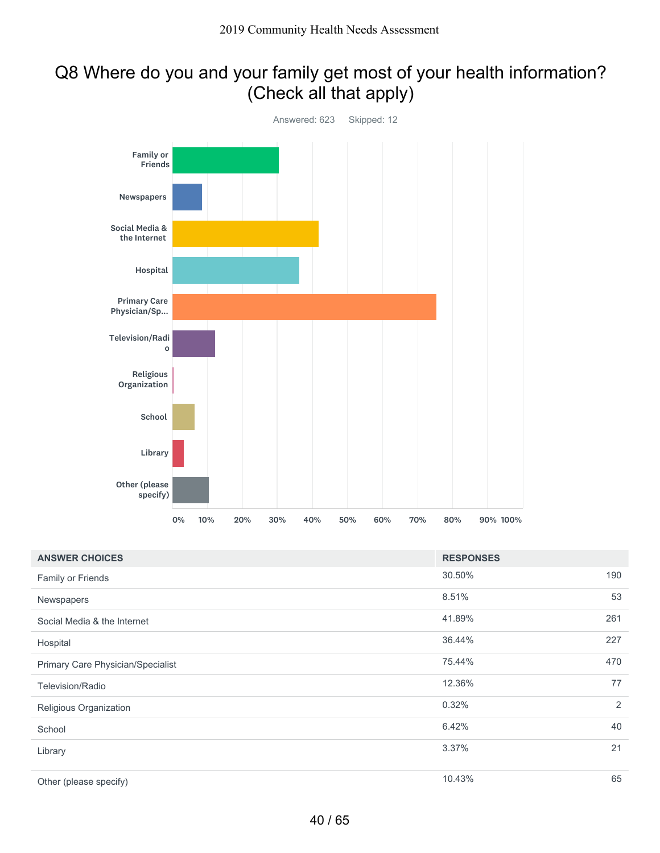## Q8 Where do you and your family get most of your health information? (Check all that apply)



| <b>ANSWER CHOICES</b>             | <b>RESPONSES</b> |     |
|-----------------------------------|------------------|-----|
| Family or Friends                 | 30.50%           | 190 |
| Newspapers                        | 8.51%            | 53  |
| Social Media & the Internet       | 41.89%           | 261 |
| Hospital                          | 36.44%           | 227 |
| Primary Care Physician/Specialist | 75.44%           | 470 |
| <b>Television/Radio</b>           | 12.36%           | 77  |
| Religious Organization            | 0.32%            | 2   |
| School                            | 6.42%            | 40  |
| Library                           | 3.37%            | 21  |
| Other (please specify)            | 10.43%           | 65  |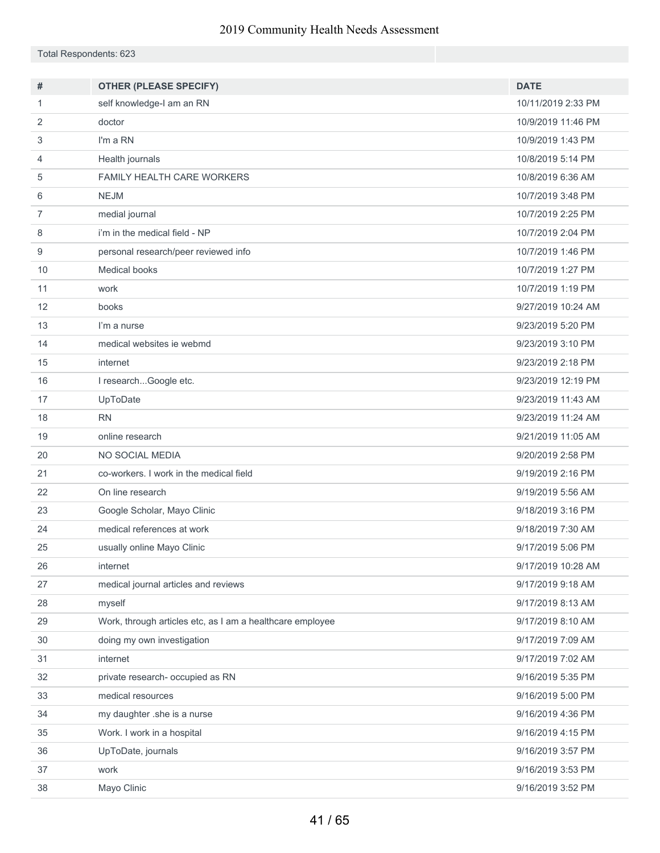Total Respondents: 623

| #  | <b>OTHER (PLEASE SPECIFY)</b>                             | <b>DATE</b>        |
|----|-----------------------------------------------------------|--------------------|
| 1  | self knowledge-I am an RN                                 | 10/11/2019 2:33 PM |
| 2  | doctor                                                    | 10/9/2019 11:46 PM |
| 3  | I'm a RN                                                  | 10/9/2019 1:43 PM  |
| 4  | Health journals                                           | 10/8/2019 5:14 PM  |
| 5  | <b>FAMILY HEALTH CARE WORKERS</b>                         | 10/8/2019 6:36 AM  |
| 6  | <b>NEJM</b>                                               | 10/7/2019 3:48 PM  |
| 7  | medial journal                                            | 10/7/2019 2:25 PM  |
| 8  | i'm in the medical field - NP                             | 10/7/2019 2:04 PM  |
| 9  | personal research/peer reviewed info                      | 10/7/2019 1:46 PM  |
| 10 | <b>Medical books</b>                                      | 10/7/2019 1:27 PM  |
| 11 | work                                                      | 10/7/2019 1:19 PM  |
| 12 | books                                                     | 9/27/2019 10:24 AM |
| 13 | I'm a nurse                                               | 9/23/2019 5:20 PM  |
| 14 | medical websites ie webmd                                 | 9/23/2019 3:10 PM  |
| 15 | internet                                                  | 9/23/2019 2:18 PM  |
| 16 | I researchGoogle etc.                                     | 9/23/2019 12:19 PM |
| 17 | UpToDate                                                  | 9/23/2019 11:43 AM |
| 18 | <b>RN</b>                                                 | 9/23/2019 11:24 AM |
| 19 | online research                                           | 9/21/2019 11:05 AM |
| 20 | NO SOCIAL MEDIA                                           | 9/20/2019 2:58 PM  |
| 21 | co-workers. I work in the medical field                   | 9/19/2019 2:16 PM  |
| 22 | On line research                                          | 9/19/2019 5:56 AM  |
| 23 | Google Scholar, Mayo Clinic                               | 9/18/2019 3:16 PM  |
| 24 | medical references at work                                | 9/18/2019 7:30 AM  |
| 25 | usually online Mayo Clinic                                | 9/17/2019 5:06 PM  |
| 26 | internet                                                  | 9/17/2019 10:28 AM |
| 27 | medical journal articles and reviews                      | 9/17/2019 9:18 AM  |
| 28 | myself                                                    | 9/17/2019 8:13 AM  |
| 29 | Work, through articles etc, as I am a healthcare employee | 9/17/2019 8:10 AM  |
| 30 | doing my own investigation                                | 9/17/2019 7:09 AM  |
| 31 | internet                                                  | 9/17/2019 7:02 AM  |
| 32 | private research- occupied as RN                          | 9/16/2019 5:35 PM  |
| 33 | medical resources                                         | 9/16/2019 5:00 PM  |
| 34 | my daughter .she is a nurse                               | 9/16/2019 4:36 PM  |
| 35 | Work. I work in a hospital                                | 9/16/2019 4:15 PM  |
| 36 | UpToDate, journals                                        | 9/16/2019 3:57 PM  |
| 37 | work                                                      | 9/16/2019 3:53 PM  |
| 38 | Mayo Clinic                                               | 9/16/2019 3:52 PM  |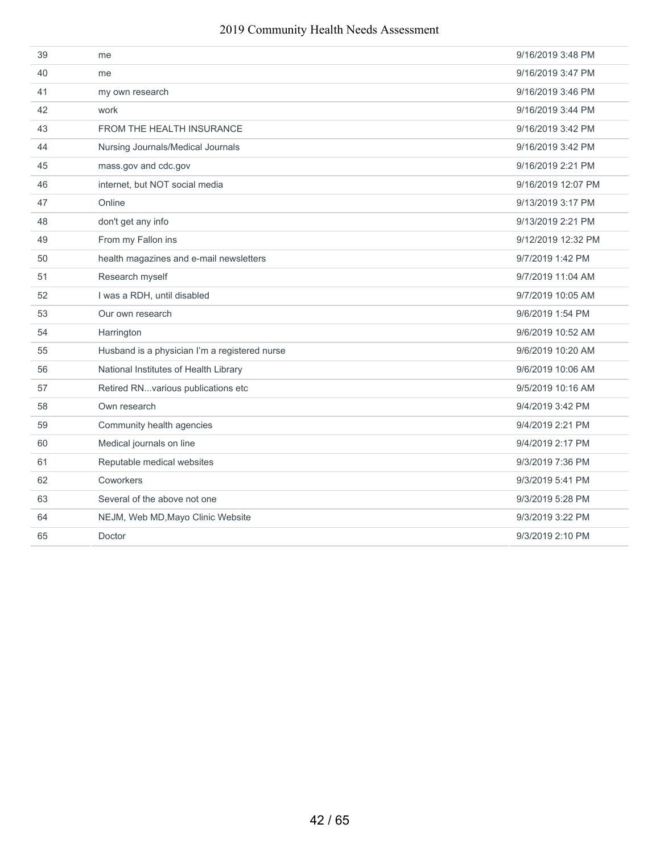| 39 | me                                            | 9/16/2019 3:48 PM  |
|----|-----------------------------------------------|--------------------|
| 40 | me                                            | 9/16/2019 3:47 PM  |
| 41 | my own research                               | 9/16/2019 3:46 PM  |
| 42 | work                                          | 9/16/2019 3:44 PM  |
| 43 | <b>FROM THE HEALTH INSURANCE</b>              | 9/16/2019 3:42 PM  |
| 44 | Nursing Journals/Medical Journals             | 9/16/2019 3:42 PM  |
| 45 | mass.gov and cdc.gov                          | 9/16/2019 2:21 PM  |
| 46 | internet, but NOT social media                | 9/16/2019 12:07 PM |
| 47 | Online                                        | 9/13/2019 3:17 PM  |
| 48 | don't get any info                            | 9/13/2019 2:21 PM  |
| 49 | From my Fallon ins                            | 9/12/2019 12:32 PM |
| 50 | health magazines and e-mail newsletters       | 9/7/2019 1:42 PM   |
| 51 | Research myself                               | 9/7/2019 11:04 AM  |
| 52 | I was a RDH, until disabled                   | 9/7/2019 10:05 AM  |
| 53 | Our own research                              | 9/6/2019 1:54 PM   |
| 54 | Harrington                                    | 9/6/2019 10:52 AM  |
| 55 | Husband is a physician I'm a registered nurse | 9/6/2019 10:20 AM  |
| 56 | National Institutes of Health Library         | 9/6/2019 10:06 AM  |
| 57 | Retired RNvarious publications etc            | 9/5/2019 10:16 AM  |
| 58 | Own research                                  | 9/4/2019 3:42 PM   |
| 59 | Community health agencies                     | 9/4/2019 2:21 PM   |
| 60 | Medical journals on line                      | 9/4/2019 2:17 PM   |
| 61 | Reputable medical websites                    | 9/3/2019 7:36 PM   |
| 62 | Coworkers                                     | 9/3/2019 5:41 PM   |
| 63 | Several of the above not one                  | 9/3/2019 5:28 PM   |
| 64 | NEJM, Web MD, Mayo Clinic Website             | 9/3/2019 3:22 PM   |
| 65 | Doctor                                        | 9/3/2019 2:10 PM   |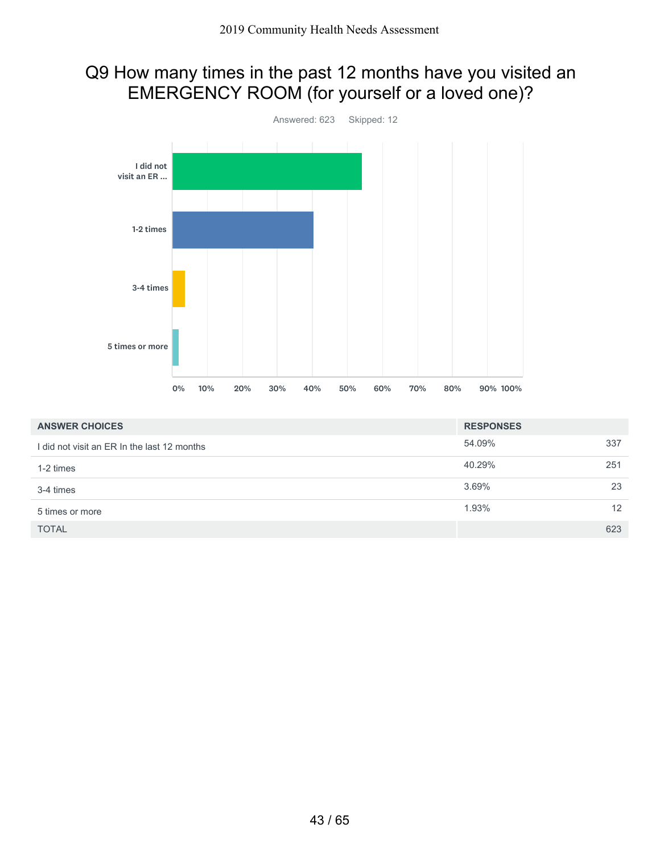## Q9 How many times in the past 12 months have you visited an EMERGENCY ROOM (for yourself or a loved one)?



| <b>ANSWER CHOICES</b>                       | <b>RESPONSES</b> |     |
|---------------------------------------------|------------------|-----|
| I did not visit an ER In the last 12 months | 54.09%           | 337 |
| 1-2 times                                   | 40.29%           | 251 |
| 3-4 times                                   | 3.69%            | 23  |
| 5 times or more                             | 1.93%            | 12  |
| <b>TOTAL</b>                                |                  | 623 |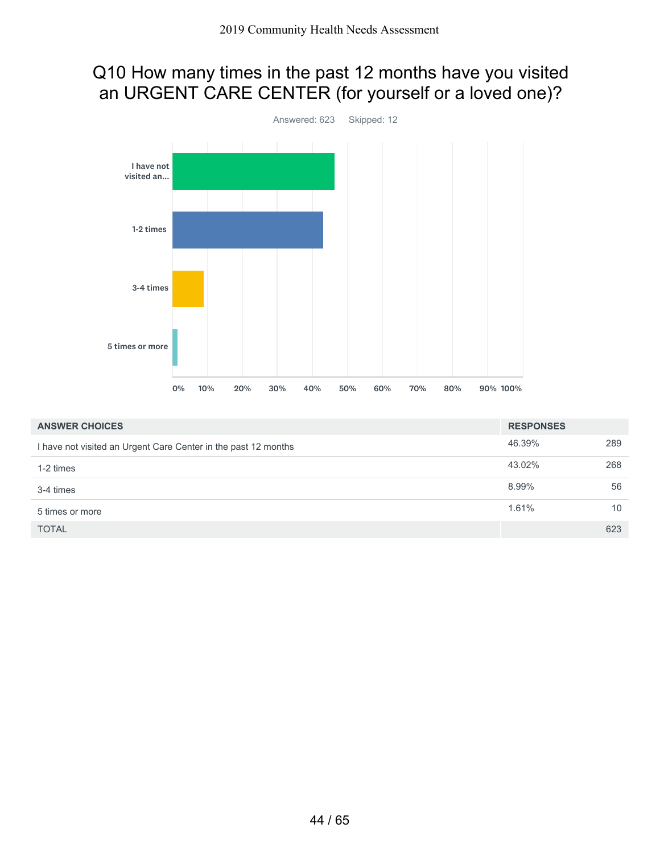## Q10 How many times in the past 12 months have you visited an URGENT CARE CENTER (for yourself or a loved one)?



| <b>ANSWER CHOICES</b>                                          | <b>RESPONSES</b> |     |
|----------------------------------------------------------------|------------------|-----|
| I have not visited an Urgent Care Center in the past 12 months | 46.39%           | 289 |
| 1-2 times                                                      | 43.02%           | 268 |
| 3-4 times                                                      | 8.99%            | 56  |
| 5 times or more                                                | 1.61%            | 10  |
| <b>TOTAL</b>                                                   |                  | 623 |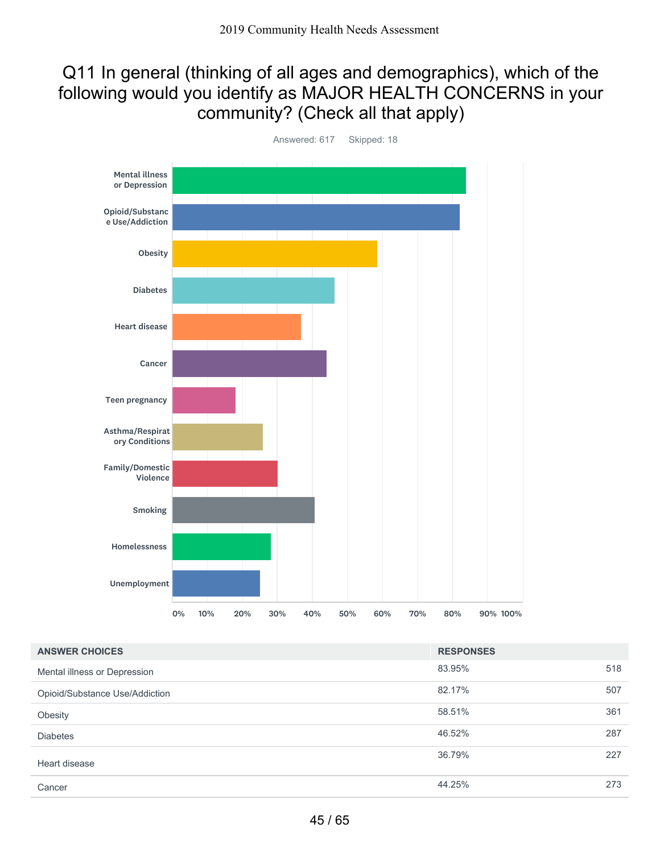### Q11 In general (thinking of all ages and demographics), which of the following would you identify as MAJOR HEALTH CONCERNS in your community? (Check all that apply)



Answered: 617 Skipped: 18

| <b>ANSWER CHOICES</b>          | <b>RESPONSES</b> |     |
|--------------------------------|------------------|-----|
| Mental illness or Depression   | 83.95%           | 518 |
| Opioid/Substance Use/Addiction | 82.17%           | 507 |
| Obesity                        | 58.51%           | 361 |
| <b>Diabetes</b>                | 46.52%           | 287 |
| Heart disease                  | 36.79%           | 227 |
| Cancer                         | 44.25%           | 273 |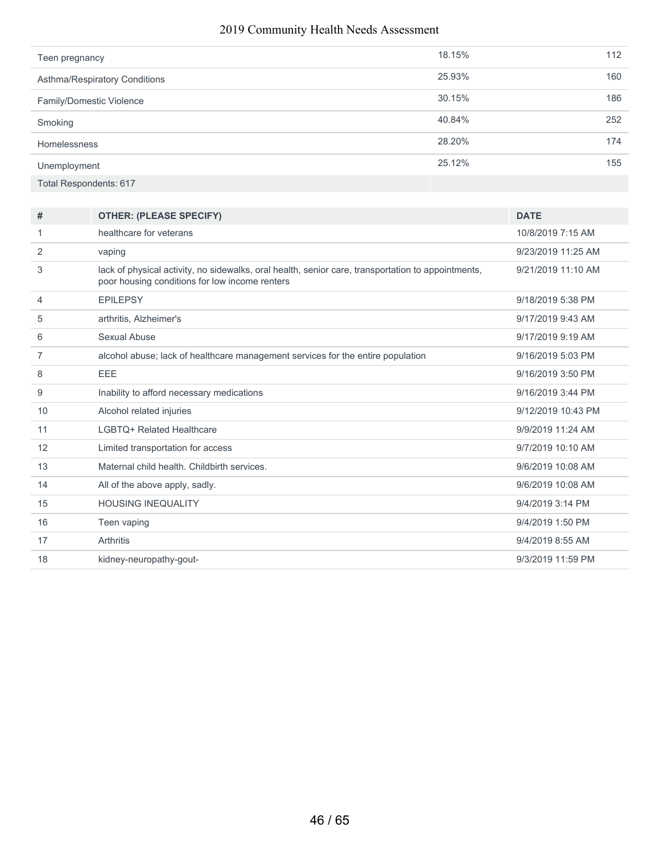| Teen pregnancy                | 18.15% | 112 |
|-------------------------------|--------|-----|
| Asthma/Respiratory Conditions | 25.93% | 160 |
| Family/Domestic Violence      | 30.15% | 186 |
| Smoking                       | 40.84% | 252 |
| Homelessness                  | 28.20% | 174 |
| Unemployment                  | 25.12% | 155 |
| Total Respondents: 617        |        |     |

| #  | <b>OTHER: (PLEASE SPECIFY)</b>                                                                                                                       | <b>DATE</b>        |
|----|------------------------------------------------------------------------------------------------------------------------------------------------------|--------------------|
| 1  | healthcare for veterans                                                                                                                              | 10/8/2019 7:15 AM  |
| 2  | vaping                                                                                                                                               | 9/23/2019 11:25 AM |
| 3  | lack of physical activity, no sidewalks, oral health, senior care, transportation to appointments,<br>poor housing conditions for low income renters | 9/21/2019 11:10 AM |
| 4  | <b>EPILEPSY</b>                                                                                                                                      | 9/18/2019 5:38 PM  |
| 5  | arthritis, Alzheimer's                                                                                                                               | 9/17/2019 9:43 AM  |
| 6  | Sexual Abuse                                                                                                                                         | 9/17/2019 9:19 AM  |
| 7  | alcohol abuse; lack of healthcare management services for the entire population                                                                      | 9/16/2019 5:03 PM  |
| 8  | <b>EEE</b>                                                                                                                                           | 9/16/2019 3:50 PM  |
| 9  | Inability to afford necessary medications                                                                                                            | 9/16/2019 3:44 PM  |
| 10 | Alcohol related injuries                                                                                                                             | 9/12/2019 10:43 PM |
| 11 | I GBTO+ Related Healthcare                                                                                                                           | 9/9/2019 11:24 AM  |
| 12 | Limited transportation for access                                                                                                                    | 9/7/2019 10:10 AM  |
| 13 | Maternal child health. Childbirth services.                                                                                                          | 9/6/2019 10:08 AM  |
| 14 | All of the above apply, sadly.                                                                                                                       | 9/6/2019 10:08 AM  |
| 15 | <b>HOUSING INEQUALITY</b>                                                                                                                            | 9/4/2019 3:14 PM   |
| 16 | Teen vaping                                                                                                                                          | 9/4/2019 1:50 PM   |
| 17 | Arthritis                                                                                                                                            | 9/4/2019 8:55 AM   |
| 18 | kidney-neuropathy-gout-                                                                                                                              | 9/3/2019 11:59 PM  |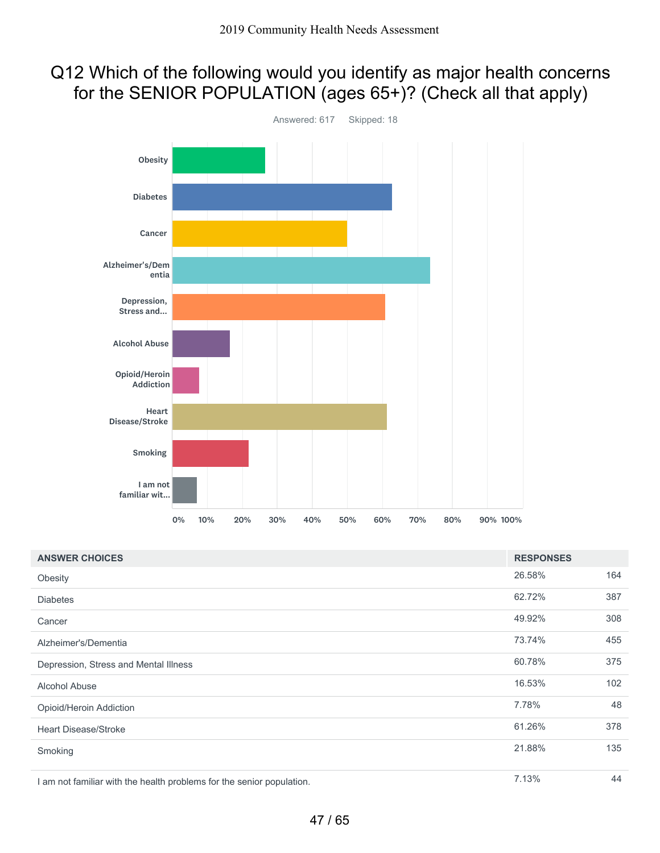## Q12 Which of the following would you identify as major health concerns for the SENIOR POPULATION (ages 65+)? (Check all that apply)



| <b>ANSWER CHOICES</b>                                                 | <b>RESPONSES</b> |     |
|-----------------------------------------------------------------------|------------------|-----|
| Obesity                                                               | 26.58%           | 164 |
| <b>Diabetes</b>                                                       | 62.72%           | 387 |
| Cancer                                                                | 49.92%           | 308 |
| Alzheimer's/Dementia                                                  | 73.74%           | 455 |
| Depression, Stress and Mental Illness                                 | 60.78%           | 375 |
| Alcohol Abuse                                                         | 16.53%           | 102 |
| Opioid/Heroin Addiction                                               | 7.78%            | 48  |
| <b>Heart Disease/Stroke</b>                                           | 61.26%           | 378 |
| Smoking                                                               | 21.88%           | 135 |
| I am not familiar with the health problems for the senior population. | 7.13%            | 44  |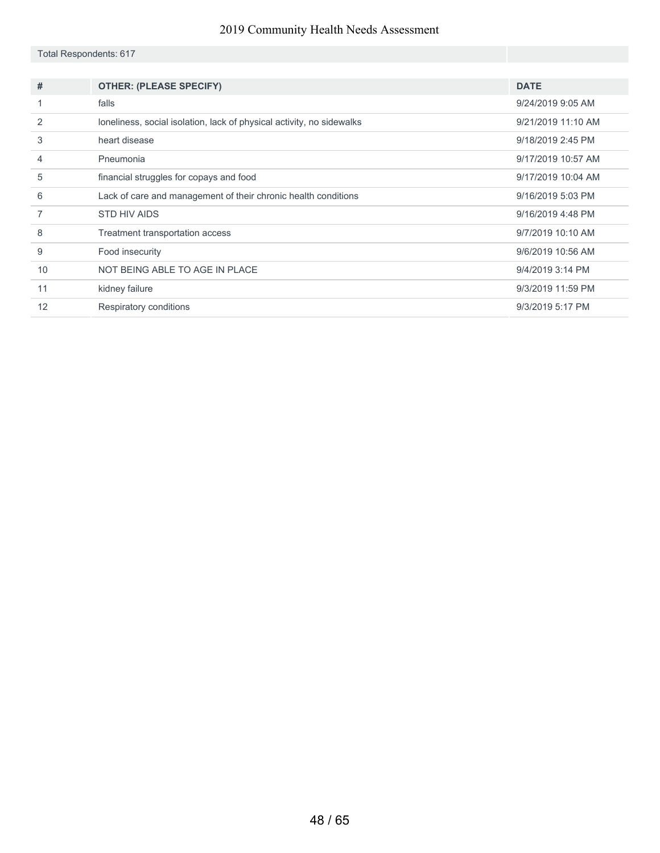#### Total Respondents: 617

| #              | <b>OTHER: (PLEASE SPECIFY)</b>                                        | <b>DATE</b>        |
|----------------|-----------------------------------------------------------------------|--------------------|
|                | falls                                                                 | 9/24/2019 9:05 AM  |
| $\mathcal{P}$  | loneliness, social isolation, lack of physical activity, no sidewalks | 9/21/2019 11:10 AM |
| 3              | heart disease                                                         | 9/18/2019 2:45 PM  |
| $\overline{4}$ | Pneumonia                                                             | 9/17/2019 10:57 AM |
| 5              | financial struggles for copays and food                               | 9/17/2019 10:04 AM |
| 6              | Lack of care and management of their chronic health conditions        | 9/16/2019 5:03 PM  |
|                | STD HIV AIDS                                                          | 9/16/2019 4:48 PM  |
| 8              | Treatment transportation access                                       | 9/7/2019 10:10 AM  |
| 9              | Food insecurity                                                       | 9/6/2019 10:56 AM  |
| 10             | NOT BEING ABLE TO AGE IN PLACE                                        | 9/4/2019 3:14 PM   |
| 11             | kidney failure                                                        | 9/3/2019 11:59 PM  |
| 12             | Respiratory conditions                                                | 9/3/2019 5:17 PM   |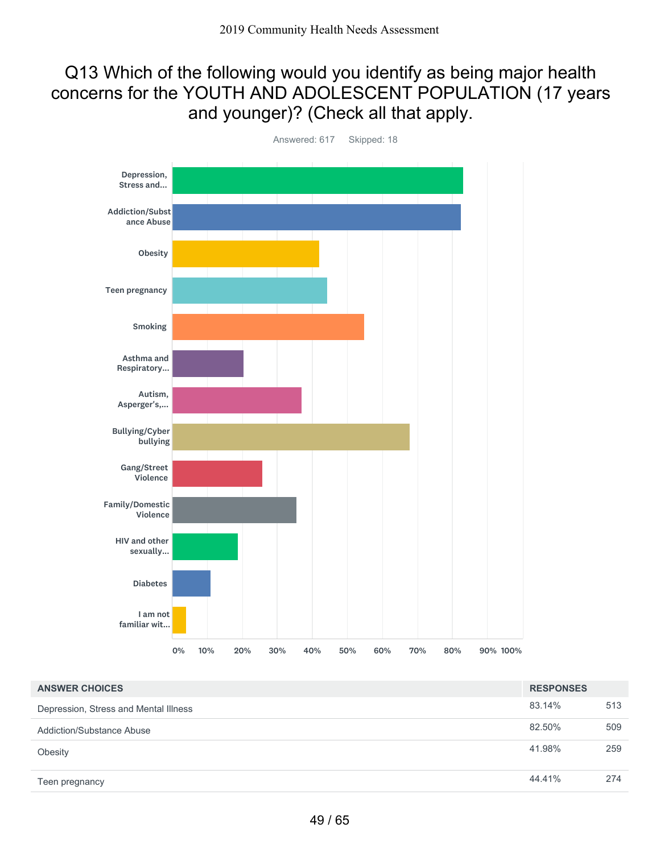### Q13 Which of the following would you identify as being major health concerns for the YOUTH AND ADOLESCENT POPULATION (17 years and younger)? (Check all that apply.



Answered: 617 Skipped: 18

| <b>ANSWER CHOICES</b>                 | <b>RESPONSES</b> |     |
|---------------------------------------|------------------|-----|
| Depression, Stress and Mental Illness | 83.14%           | 513 |
| <b>Addiction/Substance Abuse</b>      | 82.50%           | 509 |
| Obesity                               | 41.98%           | 259 |
| Teen pregnancy                        | 44.41%           | 274 |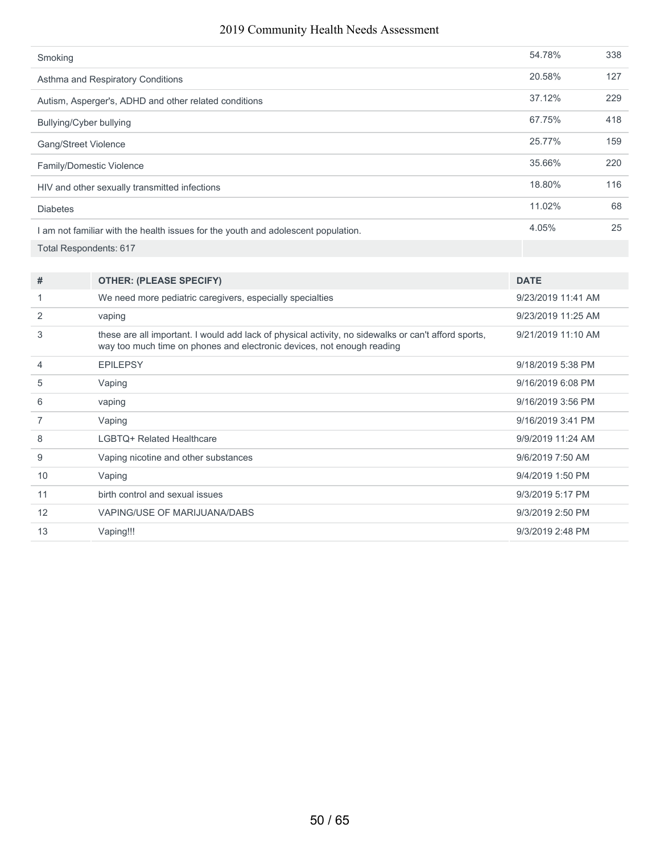| Smoking                                                                           | 54.78% | 338 |
|-----------------------------------------------------------------------------------|--------|-----|
| Asthma and Respiratory Conditions                                                 | 20.58% | 127 |
| Autism, Asperger's, ADHD and other related conditions                             | 37.12% | 229 |
| Bullying/Cyber bullying                                                           | 67.75% | 418 |
| <b>Gang/Street Violence</b>                                                       | 25.77% | 159 |
| Family/Domestic Violence                                                          | 35.66% | 220 |
| HIV and other sexually transmitted infections                                     | 18.80% | 116 |
| <b>Diabetes</b>                                                                   | 11.02% | 68  |
| I am not familiar with the health issues for the youth and adolescent population. | 4.05%  | 25  |
| <b>Total Respondents: 617</b>                                                     |        |     |

| #  | <b>OTHER: (PLEASE SPECIFY)</b>                                                                                                                                                 | <b>DATE</b>        |
|----|--------------------------------------------------------------------------------------------------------------------------------------------------------------------------------|--------------------|
|    | We need more pediatric caregivers, especially specialties                                                                                                                      | 9/23/2019 11:41 AM |
| 2  | vaping                                                                                                                                                                         | 9/23/2019 11:25 AM |
| 3  | these are all important. I would add lack of physical activity, no sidewalks or can't afford sports,<br>way too much time on phones and electronic devices, not enough reading | 9/21/2019 11:10 AM |
| 4  | <b>EPILEPSY</b>                                                                                                                                                                | 9/18/2019 5:38 PM  |
| 5  | Vaping                                                                                                                                                                         | 9/16/2019 6:08 PM  |
| 6  | vaping                                                                                                                                                                         | 9/16/2019 3:56 PM  |
| 7  | Vaping                                                                                                                                                                         | 9/16/2019 3:41 PM  |
| 8  | LGBTQ+ Related Healthcare                                                                                                                                                      | 9/9/2019 11:24 AM  |
| 9  | Vaping nicotine and other substances                                                                                                                                           | 9/6/2019 7:50 AM   |
| 10 | Vaping                                                                                                                                                                         | 9/4/2019 1:50 PM   |
| 11 | birth control and sexual issues                                                                                                                                                | 9/3/2019 5:17 PM   |
| 12 | VAPING/USE OF MARIJUANA/DABS                                                                                                                                                   | 9/3/2019 2:50 PM   |
| 13 | Vaping!!!                                                                                                                                                                      | 9/3/2019 2:48 PM   |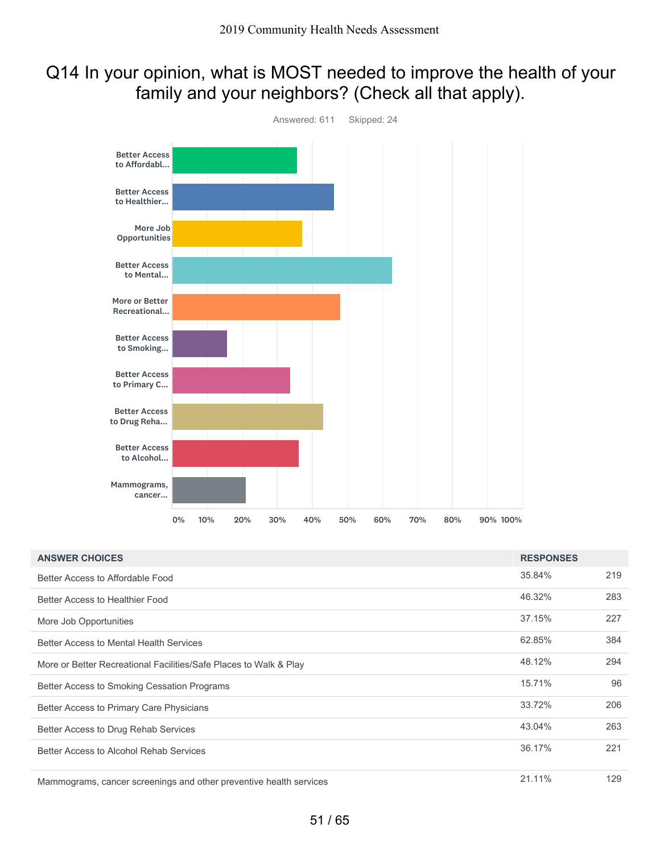### Q14 In your opinion, what is MOST needed to improve the health of your family and your neighbors? (Check all that apply).



| <b>ANSWER CHOICES</b>                                              | <b>RESPONSES</b> |     |
|--------------------------------------------------------------------|------------------|-----|
| Better Access to Affordable Food                                   | 35.84%           | 219 |
| Better Access to Healthier Food                                    | 46.32%           | 283 |
| More Job Opportunities                                             | 37.15%           | 227 |
| <b>Better Access to Mental Health Services</b>                     | 62.85%           | 384 |
| More or Better Recreational Facilities/Safe Places to Walk & Play  | 48.12%           | 294 |
| Better Access to Smoking Cessation Programs                        | 15.71%           | 96  |
| Better Access to Primary Care Physicians                           | 33.72%           | 206 |
| Better Access to Drug Rehab Services                               | 43.04%           | 263 |
| Better Access to Alcohol Rehab Services                            | 36.17%           | 221 |
| Mammograms, cancer screenings and other preventive health services | 21.11%           | 129 |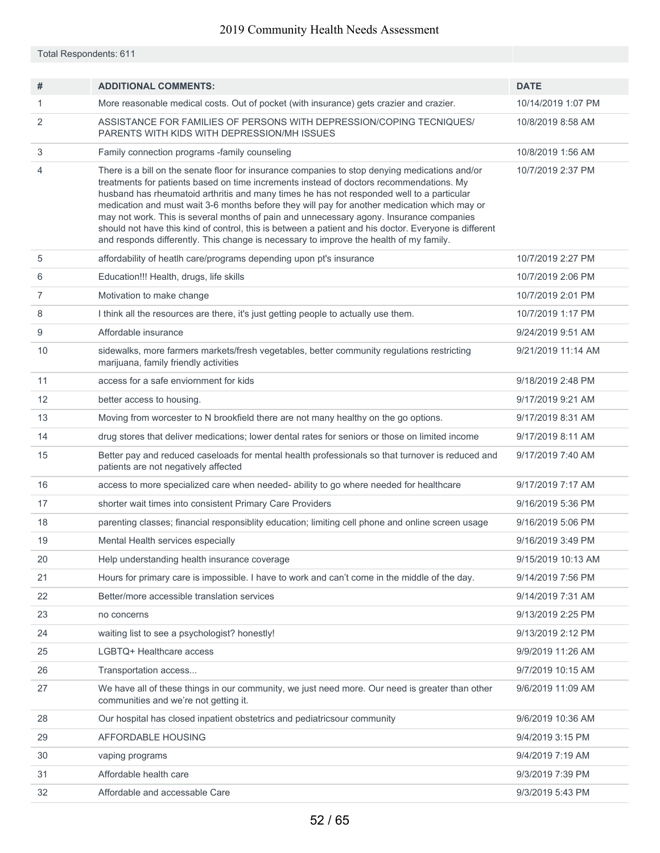Total Respondents: 611

| #              | <b>ADDITIONAL COMMENTS:</b>                                                                                                                                                                                                                                                                                                                                                                                                                                                                                                                                                                                                                                                          | <b>DATE</b>        |
|----------------|--------------------------------------------------------------------------------------------------------------------------------------------------------------------------------------------------------------------------------------------------------------------------------------------------------------------------------------------------------------------------------------------------------------------------------------------------------------------------------------------------------------------------------------------------------------------------------------------------------------------------------------------------------------------------------------|--------------------|
| 1              | More reasonable medical costs. Out of pocket (with insurance) gets crazier and crazier.                                                                                                                                                                                                                                                                                                                                                                                                                                                                                                                                                                                              | 10/14/2019 1:07 PM |
| 2              | ASSISTANCE FOR FAMILIES OF PERSONS WITH DEPRESSION/COPING TECNIQUES/<br>PARENTS WITH KIDS WITH DEPRESSION/MH ISSUES                                                                                                                                                                                                                                                                                                                                                                                                                                                                                                                                                                  | 10/8/2019 8:58 AM  |
| 3              | Family connection programs -family counseling                                                                                                                                                                                                                                                                                                                                                                                                                                                                                                                                                                                                                                        | 10/8/2019 1:56 AM  |
| 4              | There is a bill on the senate floor for insurance companies to stop denying medications and/or<br>treatments for patients based on time increments instead of doctors recommendations. My<br>husband has rheumatoid arthritis and many times he has not responded well to a particular<br>medication and must wait 3-6 months before they will pay for another medication which may or<br>may not work. This is several months of pain and unnecessary agony. Insurance companies<br>should not have this kind of control, this is between a patient and his doctor. Everyone is different<br>and responds differently. This change is necessary to improve the health of my family. | 10/7/2019 2:37 PM  |
| 5              | affordability of heatlh care/programs depending upon pt's insurance                                                                                                                                                                                                                                                                                                                                                                                                                                                                                                                                                                                                                  | 10/7/2019 2:27 PM  |
| 6              | Education!!! Health, drugs, life skills                                                                                                                                                                                                                                                                                                                                                                                                                                                                                                                                                                                                                                              | 10/7/2019 2:06 PM  |
| $\overline{7}$ | Motivation to make change                                                                                                                                                                                                                                                                                                                                                                                                                                                                                                                                                                                                                                                            | 10/7/2019 2:01 PM  |
| 8              | I think all the resources are there, it's just getting people to actually use them.                                                                                                                                                                                                                                                                                                                                                                                                                                                                                                                                                                                                  | 10/7/2019 1:17 PM  |
| 9              | Affordable insurance                                                                                                                                                                                                                                                                                                                                                                                                                                                                                                                                                                                                                                                                 | 9/24/2019 9:51 AM  |
| 10             | sidewalks, more farmers markets/fresh vegetables, better community regulations restricting<br>marijuana, family friendly activities                                                                                                                                                                                                                                                                                                                                                                                                                                                                                                                                                  | 9/21/2019 11:14 AM |
| 11             | access for a safe enviornment for kids                                                                                                                                                                                                                                                                                                                                                                                                                                                                                                                                                                                                                                               | 9/18/2019 2:48 PM  |
| 12             | better access to housing.                                                                                                                                                                                                                                                                                                                                                                                                                                                                                                                                                                                                                                                            | 9/17/2019 9:21 AM  |
| 13             | Moving from worcester to N brookfield there are not many healthy on the go options.                                                                                                                                                                                                                                                                                                                                                                                                                                                                                                                                                                                                  | 9/17/2019 8:31 AM  |
| 14             | drug stores that deliver medications; lower dental rates for seniors or those on limited income                                                                                                                                                                                                                                                                                                                                                                                                                                                                                                                                                                                      | 9/17/2019 8:11 AM  |
| 15             | Better pay and reduced caseloads for mental health professionals so that turnover is reduced and<br>patients are not negatively affected                                                                                                                                                                                                                                                                                                                                                                                                                                                                                                                                             | 9/17/2019 7:40 AM  |
| 16             | access to more specialized care when needed- ability to go where needed for healthcare                                                                                                                                                                                                                                                                                                                                                                                                                                                                                                                                                                                               | 9/17/2019 7:17 AM  |
| 17             | shorter wait times into consistent Primary Care Providers                                                                                                                                                                                                                                                                                                                                                                                                                                                                                                                                                                                                                            | 9/16/2019 5:36 PM  |
| 18             | parenting classes; financial responsiblity education; limiting cell phone and online screen usage                                                                                                                                                                                                                                                                                                                                                                                                                                                                                                                                                                                    | 9/16/2019 5:06 PM  |
| 19             | Mental Health services especially                                                                                                                                                                                                                                                                                                                                                                                                                                                                                                                                                                                                                                                    | 9/16/2019 3:49 PM  |
| 20             | Help understanding health insurance coverage                                                                                                                                                                                                                                                                                                                                                                                                                                                                                                                                                                                                                                         | 9/15/2019 10:13 AM |
| 21             | Hours for primary care is impossible. I have to work and can't come in the middle of the day.                                                                                                                                                                                                                                                                                                                                                                                                                                                                                                                                                                                        | 9/14/2019 7:56 PM  |
| 22             | Better/more accessible translation services                                                                                                                                                                                                                                                                                                                                                                                                                                                                                                                                                                                                                                          | 9/14/2019 7:31 AM  |
| 23             | no concerns                                                                                                                                                                                                                                                                                                                                                                                                                                                                                                                                                                                                                                                                          | 9/13/2019 2:25 PM  |
| 24             | waiting list to see a psychologist? honestly!                                                                                                                                                                                                                                                                                                                                                                                                                                                                                                                                                                                                                                        | 9/13/2019 2:12 PM  |
| 25             | LGBTQ+ Healthcare access                                                                                                                                                                                                                                                                                                                                                                                                                                                                                                                                                                                                                                                             | 9/9/2019 11:26 AM  |
| 26             | Transportation access                                                                                                                                                                                                                                                                                                                                                                                                                                                                                                                                                                                                                                                                | 9/7/2019 10:15 AM  |
| 27             | We have all of these things in our community, we just need more. Our need is greater than other<br>communities and we're not getting it.                                                                                                                                                                                                                                                                                                                                                                                                                                                                                                                                             | 9/6/2019 11:09 AM  |
| 28             | Our hospital has closed inpatient obstetrics and pediatricsour community                                                                                                                                                                                                                                                                                                                                                                                                                                                                                                                                                                                                             | 9/6/2019 10:36 AM  |
| 29             | AFFORDABLE HOUSING                                                                                                                                                                                                                                                                                                                                                                                                                                                                                                                                                                                                                                                                   | 9/4/2019 3:15 PM   |
| 30             | vaping programs                                                                                                                                                                                                                                                                                                                                                                                                                                                                                                                                                                                                                                                                      | 9/4/2019 7:19 AM   |
| 31             | Affordable health care                                                                                                                                                                                                                                                                                                                                                                                                                                                                                                                                                                                                                                                               | 9/3/2019 7:39 PM   |
| 32             | Affordable and accessable Care                                                                                                                                                                                                                                                                                                                                                                                                                                                                                                                                                                                                                                                       | 9/3/2019 5:43 PM   |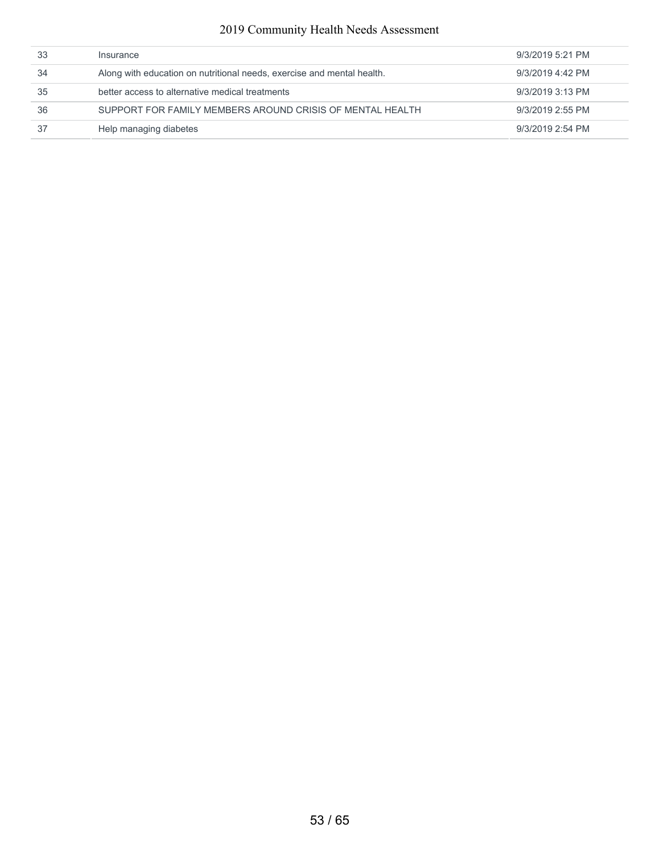| 33 | Insurance                                                              | 9/3/2019 5:21 PM |
|----|------------------------------------------------------------------------|------------------|
| 34 | Along with education on nutritional needs, exercise and mental health. | 9/3/2019 4:42 PM |
| 35 | better access to alternative medical treatments                        | 9/3/2019 3:13 PM |
| 36 | SUPPORT FOR FAMILY MEMBERS AROUND CRISIS OF MENTAL HEALTH              | 9/3/2019 2:55 PM |
| 37 | Help managing diabetes                                                 | 9/3/2019 2:54 PM |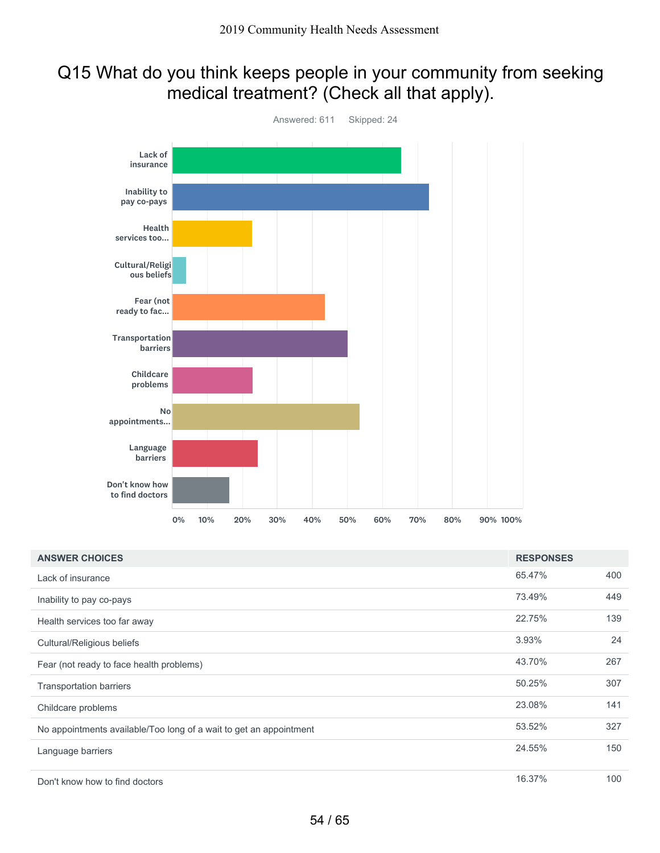### Q15 What do you think keeps people in your community from seeking medical treatment? (Check all that apply).



| <b>ANSWER CHOICES</b>                                              | <b>RESPONSES</b> |     |
|--------------------------------------------------------------------|------------------|-----|
| Lack of insurance                                                  | 65.47%           | 400 |
| Inability to pay co-pays                                           | 73.49%           | 449 |
| Health services too far away                                       | 22.75%           | 139 |
| Cultural/Religious beliefs                                         | 3.93%            | 24  |
| Fear (not ready to face health problems)                           | 43.70%           | 267 |
| <b>Transportation barriers</b>                                     | 50.25%           | 307 |
| Childcare problems                                                 | 23.08%           | 141 |
| No appointments available/Too long of a wait to get an appointment | 53.52%           | 327 |
| Language barriers                                                  | 24.55%           | 150 |
| Don't know how to find doctors                                     | 16.37%           | 100 |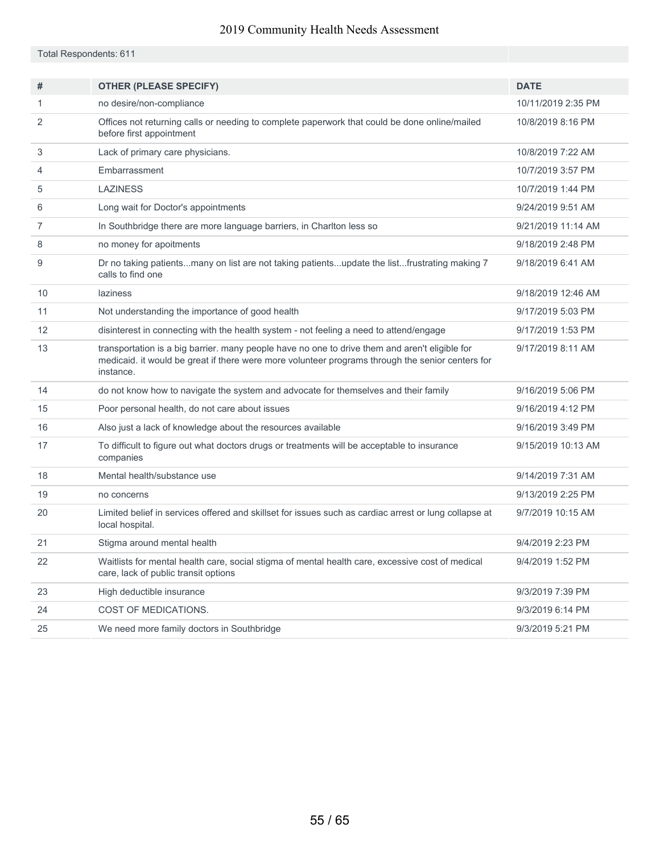|  | Total Respondents: 611 |  |
|--|------------------------|--|
|  |                        |  |

| #  | <b>OTHER (PLEASE SPECIFY)</b>                                                                                                                                                                                   | <b>DATE</b>        |
|----|-----------------------------------------------------------------------------------------------------------------------------------------------------------------------------------------------------------------|--------------------|
| 1  | no desire/non-compliance                                                                                                                                                                                        | 10/11/2019 2:35 PM |
| 2  | Offices not returning calls or needing to complete paperwork that could be done online/mailed<br>before first appointment                                                                                       | 10/8/2019 8:16 PM  |
| 3  | Lack of primary care physicians.                                                                                                                                                                                | 10/8/2019 7:22 AM  |
| 4  | Embarrassment                                                                                                                                                                                                   | 10/7/2019 3:57 PM  |
| 5  | <b>LAZINESS</b>                                                                                                                                                                                                 | 10/7/2019 1:44 PM  |
| 6  | Long wait for Doctor's appointments                                                                                                                                                                             | 9/24/2019 9:51 AM  |
| 7  | In Southbridge there are more language barriers, in Charlton less so                                                                                                                                            | 9/21/2019 11:14 AM |
| 8  | no money for apoitments                                                                                                                                                                                         | 9/18/2019 2:48 PM  |
| 9  | Dr no taking patientsmany on list are not taking patientsupdate the listfrustrating making 7<br>calls to find one                                                                                               | 9/18/2019 6:41 AM  |
| 10 | laziness                                                                                                                                                                                                        | 9/18/2019 12:46 AM |
| 11 | Not understanding the importance of good health                                                                                                                                                                 | 9/17/2019 5:03 PM  |
| 12 | disinterest in connecting with the health system - not feeling a need to attend/engage                                                                                                                          | 9/17/2019 1:53 PM  |
| 13 | transportation is a big barrier. many people have no one to drive them and aren't eligible for<br>medicaid. it would be great if there were more volunteer programs through the senior centers for<br>instance. | 9/17/2019 8:11 AM  |
| 14 | do not know how to navigate the system and advocate for themselves and their family                                                                                                                             | 9/16/2019 5:06 PM  |
| 15 | Poor personal health, do not care about issues                                                                                                                                                                  | 9/16/2019 4:12 PM  |
| 16 | Also just a lack of knowledge about the resources available                                                                                                                                                     | 9/16/2019 3:49 PM  |
| 17 | To difficult to figure out what doctors drugs or treatments will be acceptable to insurance<br>companies                                                                                                        | 9/15/2019 10:13 AM |
| 18 | Mental health/substance use                                                                                                                                                                                     | 9/14/2019 7:31 AM  |
| 19 | no concerns                                                                                                                                                                                                     | 9/13/2019 2:25 PM  |
| 20 | Limited belief in services offered and skillset for issues such as cardiac arrest or lung collapse at<br>local hospital.                                                                                        | 9/7/2019 10:15 AM  |
| 21 | Stigma around mental health                                                                                                                                                                                     | 9/4/2019 2:23 PM   |
| 22 | Waitlists for mental health care, social stigma of mental health care, excessive cost of medical<br>care, lack of public transit options                                                                        | 9/4/2019 1:52 PM   |
| 23 | High deductible insurance                                                                                                                                                                                       | 9/3/2019 7:39 PM   |
| 24 | COST OF MEDICATIONS.                                                                                                                                                                                            | 9/3/2019 6:14 PM   |
| 25 | We need more family doctors in Southbridge                                                                                                                                                                      | 9/3/2019 5:21 PM   |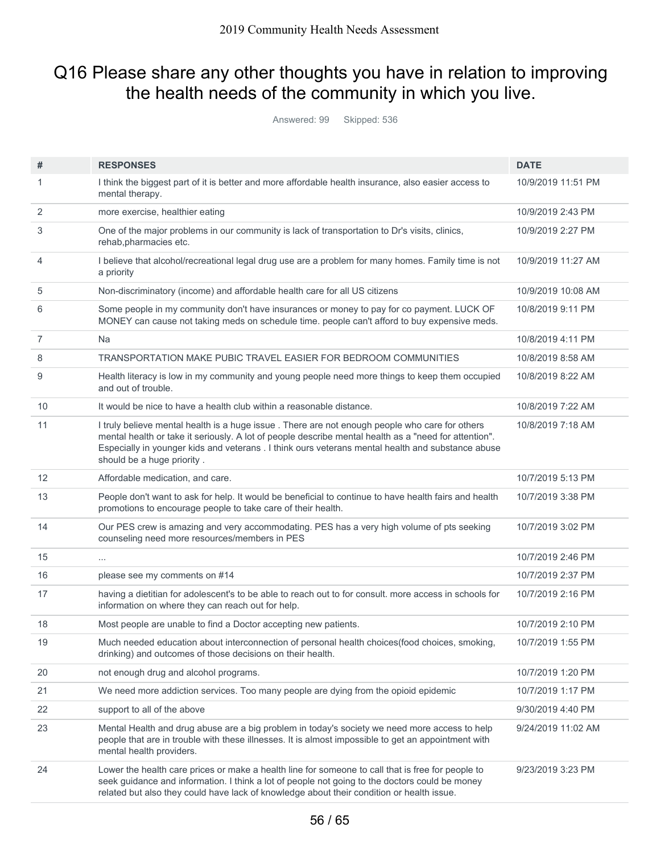## Q16 Please share any other thoughts you have in relation to improving the health needs of the community in which you live.

Answered: 99 Skipped: 536

|                | <b>RESPONSES</b>                                                                                                                                                                                                                                                                                                                            | <b>DATE</b>        |
|----------------|---------------------------------------------------------------------------------------------------------------------------------------------------------------------------------------------------------------------------------------------------------------------------------------------------------------------------------------------|--------------------|
| #              |                                                                                                                                                                                                                                                                                                                                             |                    |
| 1              | I think the biggest part of it is better and more affordable health insurance, also easier access to<br>mental therapy.                                                                                                                                                                                                                     | 10/9/2019 11:51 PM |
| 2              | more exercise, healthier eating                                                                                                                                                                                                                                                                                                             | 10/9/2019 2:43 PM  |
| 3              | One of the major problems in our community is lack of transportation to Dr's visits, clinics,<br>rehab, pharmacies etc.                                                                                                                                                                                                                     | 10/9/2019 2:27 PM  |
| 4              | I believe that alcohol/recreational legal drug use are a problem for many homes. Family time is not<br>a priority                                                                                                                                                                                                                           | 10/9/2019 11:27 AM |
| 5              | Non-discriminatory (income) and affordable health care for all US citizens                                                                                                                                                                                                                                                                  | 10/9/2019 10:08 AM |
| 6              | Some people in my community don't have insurances or money to pay for co payment. LUCK OF<br>MONEY can cause not taking meds on schedule time. people can't afford to buy expensive meds.                                                                                                                                                   | 10/8/2019 9:11 PM  |
| $\overline{7}$ | Na                                                                                                                                                                                                                                                                                                                                          | 10/8/2019 4:11 PM  |
| 8              | TRANSPORTATION MAKE PUBIC TRAVEL EASIER FOR BEDROOM COMMUNITIES                                                                                                                                                                                                                                                                             | 10/8/2019 8:58 AM  |
| 9              | Health literacy is low in my community and young people need more things to keep them occupied<br>and out of trouble.                                                                                                                                                                                                                       | 10/8/2019 8:22 AM  |
| 10             | It would be nice to have a health club within a reasonable distance.                                                                                                                                                                                                                                                                        | 10/8/2019 7:22 AM  |
| 11             | I truly believe mental health is a huge issue . There are not enough people who care for others<br>mental health or take it seriously. A lot of people describe mental health as a "need for attention".<br>Especially in younger kids and veterans . I think ours veterans mental health and substance abuse<br>should be a huge priority. | 10/8/2019 7:18 AM  |
| 12             | Affordable medication, and care.                                                                                                                                                                                                                                                                                                            | 10/7/2019 5:13 PM  |
| 13             | People don't want to ask for help. It would be beneficial to continue to have health fairs and health<br>promotions to encourage people to take care of their health.                                                                                                                                                                       | 10/7/2019 3:38 PM  |
| 14             | Our PES crew is amazing and very accommodating. PES has a very high volume of pts seeking<br>counseling need more resources/members in PES                                                                                                                                                                                                  | 10/7/2019 3:02 PM  |
| 15             |                                                                                                                                                                                                                                                                                                                                             | 10/7/2019 2:46 PM  |
| 16             | please see my comments on #14                                                                                                                                                                                                                                                                                                               | 10/7/2019 2:37 PM  |
| 17             | having a dietitian for adolescent's to be able to reach out to for consult. more access in schools for<br>information on where they can reach out for help.                                                                                                                                                                                 | 10/7/2019 2:16 PM  |
| 18             | Most people are unable to find a Doctor accepting new patients.                                                                                                                                                                                                                                                                             | 10/7/2019 2:10 PM  |
| 19             | Much needed education about interconnection of personal health choices(food choices, smoking,<br>drinking) and outcomes of those decisions on their health.                                                                                                                                                                                 | 10/7/2019 1:55 PM  |
| 20             | not enough drug and alcohol programs.                                                                                                                                                                                                                                                                                                       | 10/7/2019 1:20 PM  |
| 21             | We need more addiction services. Too many people are dying from the opioid epidemic                                                                                                                                                                                                                                                         | 10/7/2019 1:17 PM  |
| 22             | support to all of the above                                                                                                                                                                                                                                                                                                                 | 9/30/2019 4:40 PM  |
| 23             | Mental Health and drug abuse are a big problem in today's society we need more access to help<br>people that are in trouble with these illnesses. It is almost impossible to get an appointment with<br>mental health providers.                                                                                                            | 9/24/2019 11:02 AM |
| 24             | Lower the health care prices or make a health line for someone to call that is free for people to<br>seek guidance and information. I think a lot of people not going to the doctors could be money<br>related but also they could have lack of knowledge about their condition or health issue.                                            | 9/23/2019 3:23 PM  |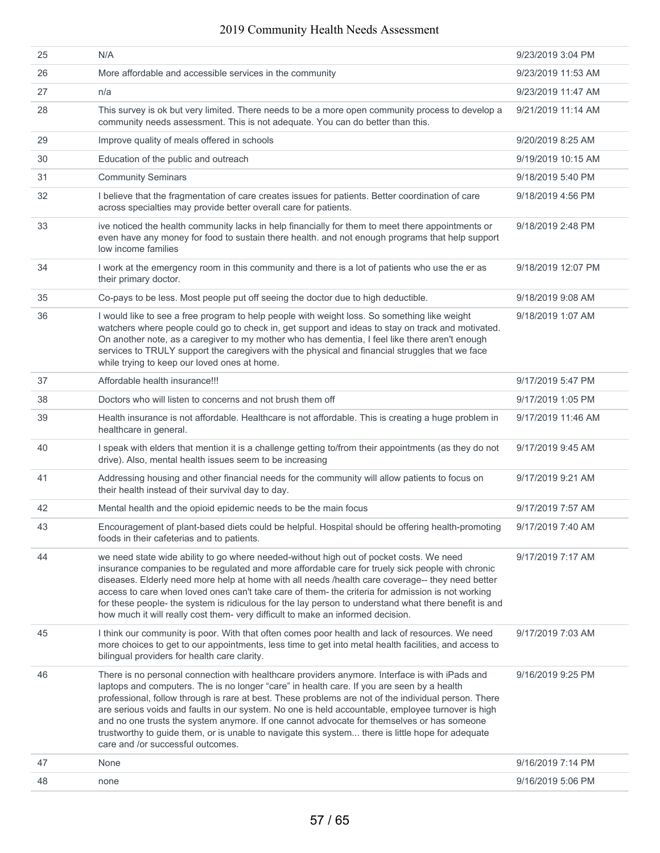| 25 | N/A                                                                                                                                                                                                                                                                                                                                                                                                                                                                                                                                                                                                                                               | 9/23/2019 3:04 PM  |
|----|---------------------------------------------------------------------------------------------------------------------------------------------------------------------------------------------------------------------------------------------------------------------------------------------------------------------------------------------------------------------------------------------------------------------------------------------------------------------------------------------------------------------------------------------------------------------------------------------------------------------------------------------------|--------------------|
| 26 | More affordable and accessible services in the community                                                                                                                                                                                                                                                                                                                                                                                                                                                                                                                                                                                          | 9/23/2019 11:53 AM |
| 27 | n/a                                                                                                                                                                                                                                                                                                                                                                                                                                                                                                                                                                                                                                               | 9/23/2019 11:47 AM |
| 28 | This survey is ok but very limited. There needs to be a more open community process to develop a<br>community needs assessment. This is not adequate. You can do better than this.                                                                                                                                                                                                                                                                                                                                                                                                                                                                | 9/21/2019 11:14 AM |
| 29 | Improve quality of meals offered in schools                                                                                                                                                                                                                                                                                                                                                                                                                                                                                                                                                                                                       | 9/20/2019 8:25 AM  |
| 30 | Education of the public and outreach                                                                                                                                                                                                                                                                                                                                                                                                                                                                                                                                                                                                              | 9/19/2019 10:15 AM |
| 31 | <b>Community Seminars</b>                                                                                                                                                                                                                                                                                                                                                                                                                                                                                                                                                                                                                         | 9/18/2019 5:40 PM  |
| 32 | I believe that the fragmentation of care creates issues for patients. Better coordination of care<br>across specialties may provide better overall care for patients.                                                                                                                                                                                                                                                                                                                                                                                                                                                                             | 9/18/2019 4:56 PM  |
| 33 | ive noticed the health community lacks in help financially for them to meet there appointments or<br>even have any money for food to sustain there health. and not enough programs that help support<br>low income families                                                                                                                                                                                                                                                                                                                                                                                                                       | 9/18/2019 2:48 PM  |
| 34 | I work at the emergency room in this community and there is a lot of patients who use the er as<br>their primary doctor.                                                                                                                                                                                                                                                                                                                                                                                                                                                                                                                          | 9/18/2019 12:07 PM |
| 35 | Co-pays to be less. Most people put off seeing the doctor due to high deductible.                                                                                                                                                                                                                                                                                                                                                                                                                                                                                                                                                                 | 9/18/2019 9:08 AM  |
| 36 | I would like to see a free program to help people with weight loss. So something like weight<br>watchers where people could go to check in, get support and ideas to stay on track and motivated.<br>On another note, as a caregiver to my mother who has dementia, I feel like there aren't enough<br>services to TRULY support the caregivers with the physical and financial struggles that we face<br>while trying to keep our loved ones at home.                                                                                                                                                                                            | 9/18/2019 1:07 AM  |
| 37 | Affordable health insurance!!!                                                                                                                                                                                                                                                                                                                                                                                                                                                                                                                                                                                                                    | 9/17/2019 5:47 PM  |
| 38 | Doctors who will listen to concerns and not brush them off                                                                                                                                                                                                                                                                                                                                                                                                                                                                                                                                                                                        | 9/17/2019 1:05 PM  |
| 39 | Health insurance is not affordable. Healthcare is not affordable. This is creating a huge problem in<br>healthcare in general.                                                                                                                                                                                                                                                                                                                                                                                                                                                                                                                    | 9/17/2019 11:46 AM |
| 40 | I speak with elders that mention it is a challenge getting to/from their appointments (as they do not<br>drive). Also, mental health issues seem to be increasing                                                                                                                                                                                                                                                                                                                                                                                                                                                                                 | 9/17/2019 9:45 AM  |
| 41 | Addressing housing and other financial needs for the community will allow patients to focus on<br>their health instead of their survival day to day.                                                                                                                                                                                                                                                                                                                                                                                                                                                                                              | 9/17/2019 9:21 AM  |
| 42 | Mental health and the opioid epidemic needs to be the main focus                                                                                                                                                                                                                                                                                                                                                                                                                                                                                                                                                                                  | 9/17/2019 7:57 AM  |
| 43 | Encouragement of plant-based diets could be helpful. Hospital should be offering health-promoting<br>foods in their cafeterias and to patients.                                                                                                                                                                                                                                                                                                                                                                                                                                                                                                   | 9/17/2019 7:40 AM  |
| 44 | we need state wide ability to go where needed-without high out of pocket costs. We need<br>insurance companies to be regulated and more affordable care for truely sick people with chronic<br>diseases. Elderly need more help at home with all needs /health care coverage-- they need better<br>access to care when loved ones can't take care of them- the criteria for admission is not working<br>for these people- the system is ridiculous for the lay person to understand what there benefit is and<br>how much it will really cost them- very difficult to make an informed decision.                                                  | 9/17/2019 7:17 AM  |
| 45 | I think our community is poor. With that often comes poor health and lack of resources. We need<br>more choices to get to our appointments, less time to get into metal health facilities, and access to<br>bilingual providers for health care clarity.                                                                                                                                                                                                                                                                                                                                                                                          | 9/17/2019 7:03 AM  |
| 46 | There is no personal connection with healthcare providers anymore. Interface is with iPads and<br>laptops and computers. The is no longer "care" in health care. If you are seen by a health<br>professional, follow through is rare at best. These problems are not of the individual person. There<br>are serious voids and faults in our system. No one is held accountable, employee turnover is high<br>and no one trusts the system anymore. If one cannot advocate for themselves or has someone<br>trustworthy to guide them, or is unable to navigate this system there is little hope for adequate<br>care and /or successful outcomes. | 9/16/2019 9:25 PM  |
| 47 | None                                                                                                                                                                                                                                                                                                                                                                                                                                                                                                                                                                                                                                              | 9/16/2019 7:14 PM  |
| 48 | none                                                                                                                                                                                                                                                                                                                                                                                                                                                                                                                                                                                                                                              | 9/16/2019 5:06 PM  |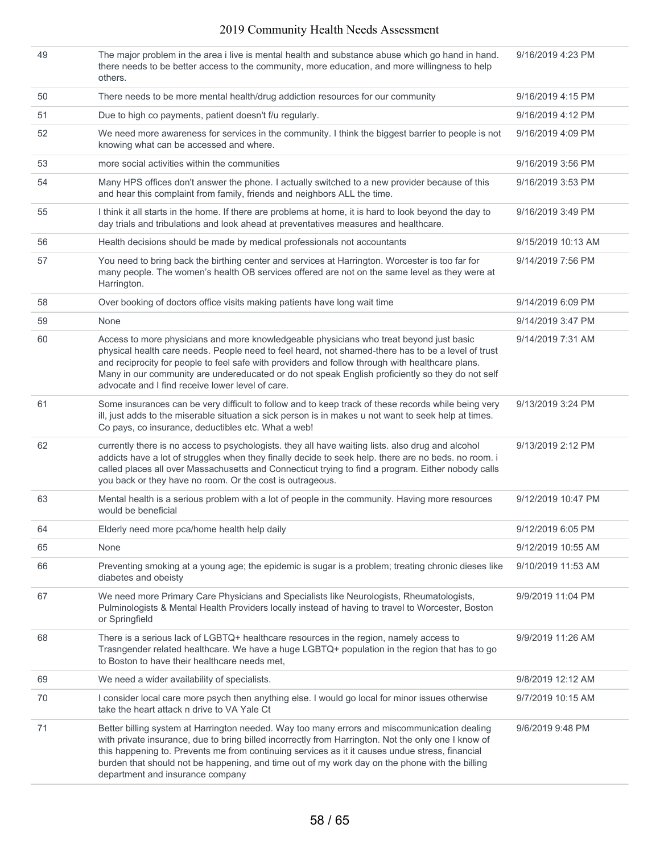| 49 | The major problem in the area i live is mental health and substance abuse which go hand in hand.<br>there needs to be better access to the community, more education, and more willingness to help<br>others.                                                                                                                                                                                                                                             | 9/16/2019 4:23 PM  |
|----|-----------------------------------------------------------------------------------------------------------------------------------------------------------------------------------------------------------------------------------------------------------------------------------------------------------------------------------------------------------------------------------------------------------------------------------------------------------|--------------------|
| 50 | There needs to be more mental health/drug addiction resources for our community                                                                                                                                                                                                                                                                                                                                                                           | 9/16/2019 4:15 PM  |
| 51 | Due to high co payments, patient doesn't f/u regularly.                                                                                                                                                                                                                                                                                                                                                                                                   | 9/16/2019 4:12 PM  |
| 52 | We need more awareness for services in the community. I think the biggest barrier to people is not<br>knowing what can be accessed and where.                                                                                                                                                                                                                                                                                                             | 9/16/2019 4:09 PM  |
| 53 | more social activities within the communities                                                                                                                                                                                                                                                                                                                                                                                                             | 9/16/2019 3:56 PM  |
| 54 | Many HPS offices don't answer the phone. I actually switched to a new provider because of this<br>and hear this complaint from family, friends and neighbors ALL the time.                                                                                                                                                                                                                                                                                | 9/16/2019 3:53 PM  |
| 55 | I think it all starts in the home. If there are problems at home, it is hard to look beyond the day to<br>day trials and tribulations and look ahead at preventatives measures and healthcare.                                                                                                                                                                                                                                                            | 9/16/2019 3:49 PM  |
| 56 | Health decisions should be made by medical professionals not accountants                                                                                                                                                                                                                                                                                                                                                                                  | 9/15/2019 10:13 AM |
| 57 | You need to bring back the birthing center and services at Harrington. Worcester is too far for<br>many people. The women's health OB services offered are not on the same level as they were at<br>Harrington.                                                                                                                                                                                                                                           | 9/14/2019 7:56 PM  |
| 58 | Over booking of doctors office visits making patients have long wait time                                                                                                                                                                                                                                                                                                                                                                                 | 9/14/2019 6:09 PM  |
| 59 | None                                                                                                                                                                                                                                                                                                                                                                                                                                                      | 9/14/2019 3:47 PM  |
| 60 | Access to more physicians and more knowledgeable physicians who treat beyond just basic<br>physical health care needs. People need to feel heard, not shamed-there has to be a level of trust<br>and reciprocity for people to feel safe with providers and follow through with healthcare plans.<br>Many in our community are undereducated or do not speak English proficiently so they do not self<br>advocate and I find receive lower level of care. | 9/14/2019 7:31 AM  |
| 61 | Some insurances can be very difficult to follow and to keep track of these records while being very<br>ill, just adds to the miserable situation a sick person is in makes u not want to seek help at times.<br>Co pays, co insurance, deductibles etc. What a web!                                                                                                                                                                                       | 9/13/2019 3:24 PM  |
| 62 | currently there is no access to psychologists. they all have waiting lists. also drug and alcohol<br>addicts have a lot of struggles when they finally decide to seek help. there are no beds. no room. i<br>called places all over Massachusetts and Connecticut trying to find a program. Either nobody calls<br>you back or they have no room. Or the cost is outrageous.                                                                              | 9/13/2019 2:12 PM  |
| 63 | Mental health is a serious problem with a lot of people in the community. Having more resources<br>would be beneficial                                                                                                                                                                                                                                                                                                                                    | 9/12/2019 10:47 PM |
| 64 | Elderly need more pca/home health help daily                                                                                                                                                                                                                                                                                                                                                                                                              | 9/12/2019 6:05 PM  |
| 65 | None                                                                                                                                                                                                                                                                                                                                                                                                                                                      | 9/12/2019 10:55 AM |
| 66 | Preventing smoking at a young age; the epidemic is sugar is a problem; treating chronic dieses like<br>diabetes and obeisty                                                                                                                                                                                                                                                                                                                               | 9/10/2019 11:53 AM |
| 67 | We need more Primary Care Physicians and Specialists like Neurologists, Rheumatologists,<br>Pulminologists & Mental Health Providers locally instead of having to travel to Worcester, Boston<br>or Springfield                                                                                                                                                                                                                                           | 9/9/2019 11:04 PM  |
| 68 | There is a serious lack of LGBTQ+ healthcare resources in the region, namely access to<br>Trasngender related healthcare. We have a huge LGBTQ+ population in the region that has to go<br>to Boston to have their healthcare needs met.                                                                                                                                                                                                                  | 9/9/2019 11:26 AM  |
| 69 | We need a wider availability of specialists.                                                                                                                                                                                                                                                                                                                                                                                                              | 9/8/2019 12:12 AM  |
| 70 | I consider local care more psych then anything else. I would go local for minor issues otherwise<br>take the heart attack n drive to VA Yale Ct                                                                                                                                                                                                                                                                                                           | 9/7/2019 10:15 AM  |
| 71 | Better billing system at Harrington needed. Way too many errors and miscommunication dealing<br>with private insurance, due to bring billed incorrectly from Harrington. Not the only one I know of<br>this happening to. Prevents me from continuing services as it it causes undue stress, financial<br>burden that should not be happening, and time out of my work day on the phone with the billing<br>department and insurance company              | 9/6/2019 9:48 PM   |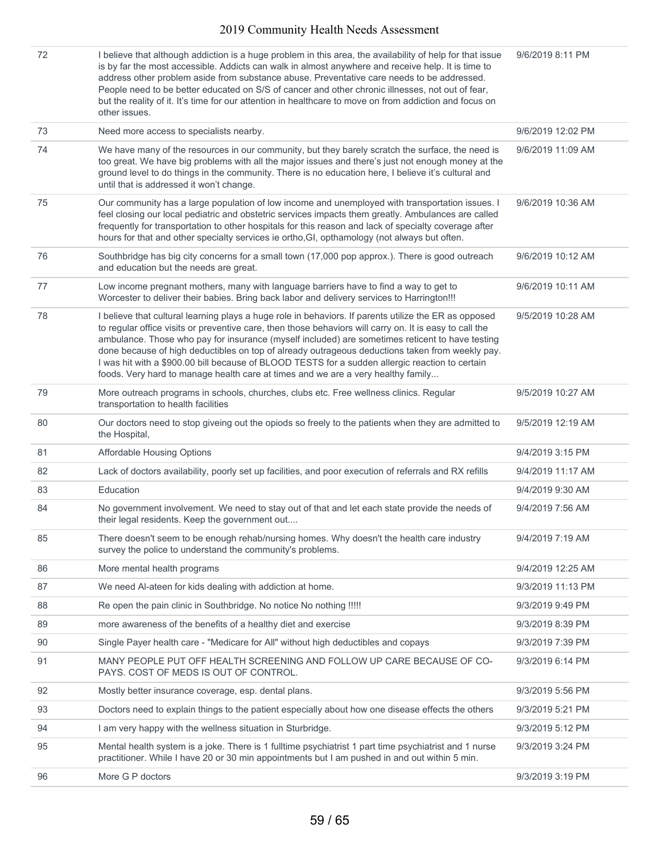| 72 | I believe that although addiction is a huge problem in this area, the availability of help for that issue<br>is by far the most accessible. Addicts can walk in almost anywhere and receive help. It is time to<br>address other problem aside from substance abuse. Preventative care needs to be addressed.<br>People need to be better educated on S/S of cancer and other chronic illnesses, not out of fear,<br>but the reality of it. It's time for our attention in healthcare to move on from addiction and focus on<br>other issues.                                                                 | 9/6/2019 8:11 PM  |
|----|---------------------------------------------------------------------------------------------------------------------------------------------------------------------------------------------------------------------------------------------------------------------------------------------------------------------------------------------------------------------------------------------------------------------------------------------------------------------------------------------------------------------------------------------------------------------------------------------------------------|-------------------|
| 73 | Need more access to specialists nearby.                                                                                                                                                                                                                                                                                                                                                                                                                                                                                                                                                                       | 9/6/2019 12:02 PM |
| 74 | We have many of the resources in our community, but they barely scratch the surface, the need is<br>too great. We have big problems with all the major issues and there's just not enough money at the<br>ground level to do things in the community. There is no education here, I believe it's cultural and<br>until that is addressed it won't change.                                                                                                                                                                                                                                                     | 9/6/2019 11:09 AM |
| 75 | Our community has a large population of low income and unemployed with transportation issues. I<br>feel closing our local pediatric and obstetric services impacts them greatly. Ambulances are called<br>frequently for transportation to other hospitals for this reason and lack of specialty coverage after<br>hours for that and other specialty services ie ortho, GI, opthamology (not always but often.                                                                                                                                                                                               | 9/6/2019 10:36 AM |
| 76 | Southbridge has big city concerns for a small town (17,000 pop approx.). There is good outreach<br>and education but the needs are great.                                                                                                                                                                                                                                                                                                                                                                                                                                                                     | 9/6/2019 10:12 AM |
| 77 | Low income pregnant mothers, many with language barriers have to find a way to get to<br>Worcester to deliver their babies. Bring back labor and delivery services to Harrington!!!                                                                                                                                                                                                                                                                                                                                                                                                                           | 9/6/2019 10:11 AM |
| 78 | I believe that cultural learning plays a huge role in behaviors. If parents utilize the ER as opposed<br>to regular office visits or preventive care, then those behaviors will carry on. It is easy to call the<br>ambulance. Those who pay for insurance (myself included) are sometimes reticent to have testing<br>done because of high deductibles on top of already outrageous deductions taken from weekly pay.<br>I was hit with a \$900.00 bill because of BLOOD TESTS for a sudden allergic reaction to certain<br>foods. Very hard to manage health care at times and we are a very healthy family | 9/5/2019 10:28 AM |
| 79 | More outreach programs in schools, churches, clubs etc. Free wellness clinics. Regular<br>transportation to health facilities                                                                                                                                                                                                                                                                                                                                                                                                                                                                                 | 9/5/2019 10:27 AM |
| 80 | Our doctors need to stop giveing out the opiods so freely to the patients when they are admitted to<br>the Hospital,                                                                                                                                                                                                                                                                                                                                                                                                                                                                                          | 9/5/2019 12:19 AM |
| 81 | Affordable Housing Options                                                                                                                                                                                                                                                                                                                                                                                                                                                                                                                                                                                    | 9/4/2019 3:15 PM  |
| 82 | Lack of doctors availability, poorly set up facilities, and poor execution of referrals and RX refills                                                                                                                                                                                                                                                                                                                                                                                                                                                                                                        | 9/4/2019 11:17 AM |
| 83 | Education                                                                                                                                                                                                                                                                                                                                                                                                                                                                                                                                                                                                     | 9/4/2019 9:30 AM  |
| 84 | No government involvement. We need to stay out of that and let each state provide the needs of<br>their legal residents. Keep the government out                                                                                                                                                                                                                                                                                                                                                                                                                                                              | 9/4/2019 7:56 AM  |
| 85 | There doesn't seem to be enough rehab/nursing homes. Why doesn't the health care industry<br>survey the police to understand the community's problems.                                                                                                                                                                                                                                                                                                                                                                                                                                                        | 9/4/2019 7:19 AM  |
| 86 | More mental health programs                                                                                                                                                                                                                                                                                                                                                                                                                                                                                                                                                                                   | 9/4/2019 12:25 AM |
| 87 | We need Al-ateen for kids dealing with addiction at home.                                                                                                                                                                                                                                                                                                                                                                                                                                                                                                                                                     | 9/3/2019 11:13 PM |
| 88 | Re open the pain clinic in Southbridge. No notice No nothing !!!!!                                                                                                                                                                                                                                                                                                                                                                                                                                                                                                                                            | 9/3/2019 9:49 PM  |
| 89 | more awareness of the benefits of a healthy diet and exercise                                                                                                                                                                                                                                                                                                                                                                                                                                                                                                                                                 | 9/3/2019 8:39 PM  |
| 90 | Single Payer health care - "Medicare for All" without high deductibles and copays                                                                                                                                                                                                                                                                                                                                                                                                                                                                                                                             | 9/3/2019 7:39 PM  |
| 91 | MANY PEOPLE PUT OFF HEALTH SCREENING AND FOLLOW UP CARE BECAUSE OF CO-<br>PAYS. COST OF MEDS IS OUT OF CONTROL.                                                                                                                                                                                                                                                                                                                                                                                                                                                                                               | 9/3/2019 6:14 PM  |
| 92 | Mostly better insurance coverage, esp. dental plans.                                                                                                                                                                                                                                                                                                                                                                                                                                                                                                                                                          | 9/3/2019 5:56 PM  |
| 93 | Doctors need to explain things to the patient especially about how one disease effects the others                                                                                                                                                                                                                                                                                                                                                                                                                                                                                                             | 9/3/2019 5:21 PM  |
| 94 | I am very happy with the wellness situation in Sturbridge.                                                                                                                                                                                                                                                                                                                                                                                                                                                                                                                                                    | 9/3/2019 5:12 PM  |
| 95 | Mental health system is a joke. There is 1 fulltime psychiatrist 1 part time psychiatrist and 1 nurse<br>practitioner. While I have 20 or 30 min appointments but I am pushed in and out within 5 min.                                                                                                                                                                                                                                                                                                                                                                                                        | 9/3/2019 3:24 PM  |
| 96 | More G P doctors                                                                                                                                                                                                                                                                                                                                                                                                                                                                                                                                                                                              | 9/3/2019 3:19 PM  |
|    |                                                                                                                                                                                                                                                                                                                                                                                                                                                                                                                                                                                                               |                   |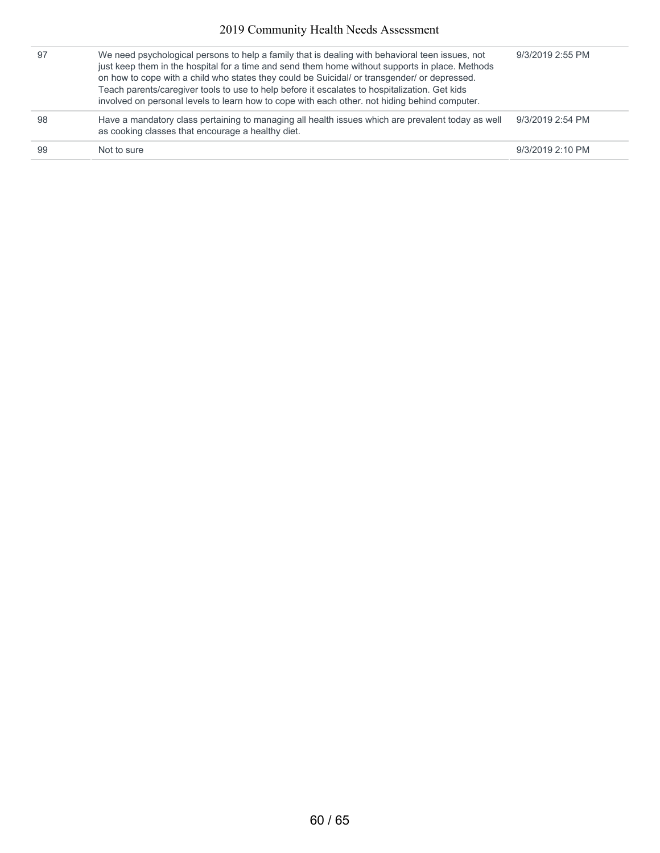| 97 | We need psychological persons to help a family that is dealing with behavioral teen issues, not<br>just keep them in the hospital for a time and send them home without supports in place. Methods<br>on how to cope with a child who states they could be Suicidal/ or transgender/ or depressed.<br>Teach parents/caregiver tools to use to help before it escalates to hospitalization. Get kids<br>involved on personal levels to learn how to cope with each other, not hiding behind computer. | 9/3/2019 2:55 PM |
|----|------------------------------------------------------------------------------------------------------------------------------------------------------------------------------------------------------------------------------------------------------------------------------------------------------------------------------------------------------------------------------------------------------------------------------------------------------------------------------------------------------|------------------|
| 98 | Have a mandatory class pertaining to managing all health issues which are prevalent today as well<br>as cooking classes that encourage a healthy diet.                                                                                                                                                                                                                                                                                                                                               | 9/3/2019 2:54 PM |
| 99 | Not to sure                                                                                                                                                                                                                                                                                                                                                                                                                                                                                          | 9/3/2019 2:10 PM |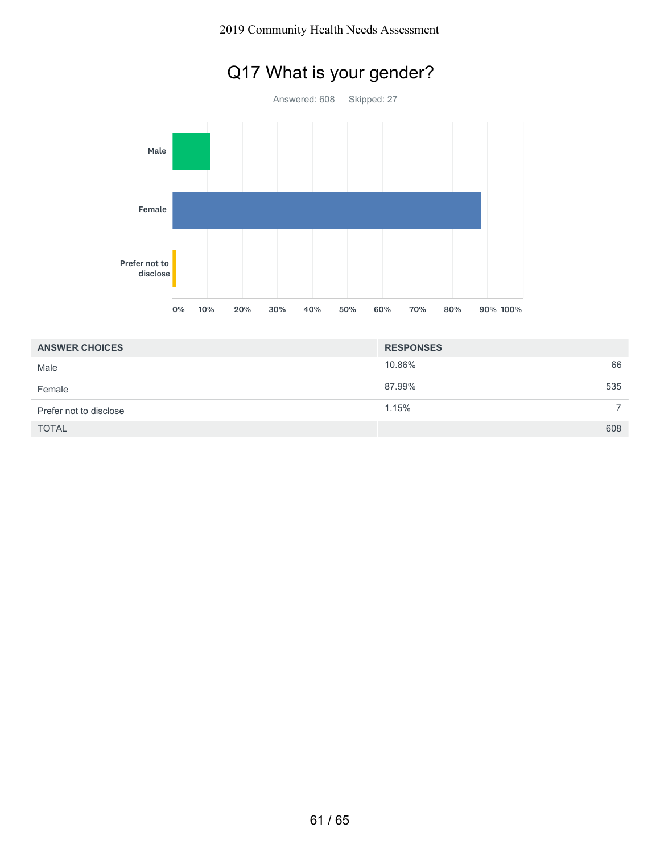# Q17 What is your gender?



| <b>ANSWER CHOICES</b>  | <b>RESPONSES</b> |     |
|------------------------|------------------|-----|
| Male                   | 10.86%           | 66  |
| Female                 | 87.99%           | 535 |
| Prefer not to disclose | 1.15%            |     |
| <b>TOTAL</b>           |                  | 608 |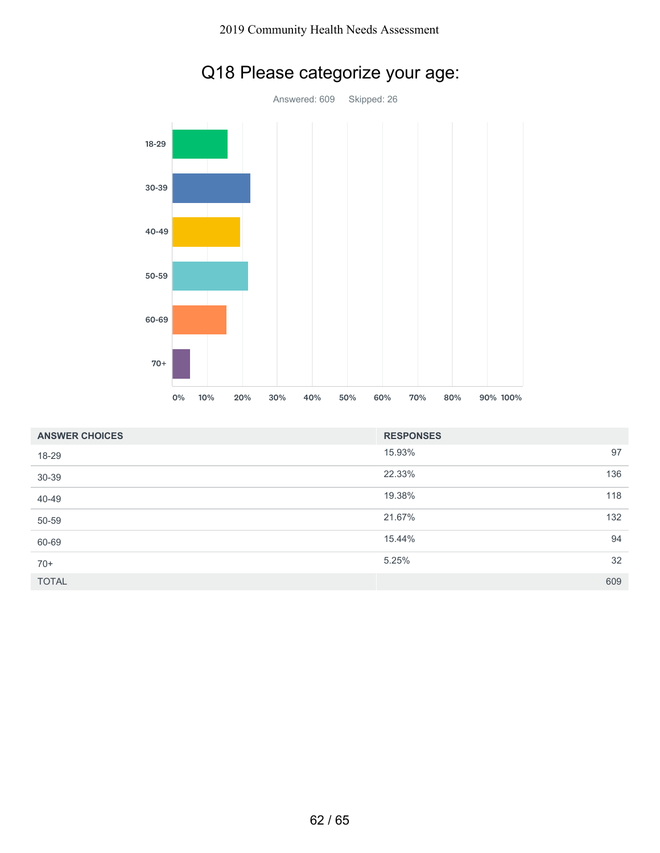

# Q18 Please categorize your age:

| <b>ANSWER CHOICES</b> | <b>RESPONSES</b> |     |
|-----------------------|------------------|-----|
| 18-29                 | 15.93%           | 97  |
| 30-39                 | 22.33%           | 136 |
| 40-49                 | 19.38%           | 118 |
| 50-59                 | 21.67%           | 132 |
| 60-69                 | 15.44%           | 94  |
| $70+$                 | 5.25%            | 32  |
| <b>TOTAL</b>          |                  | 609 |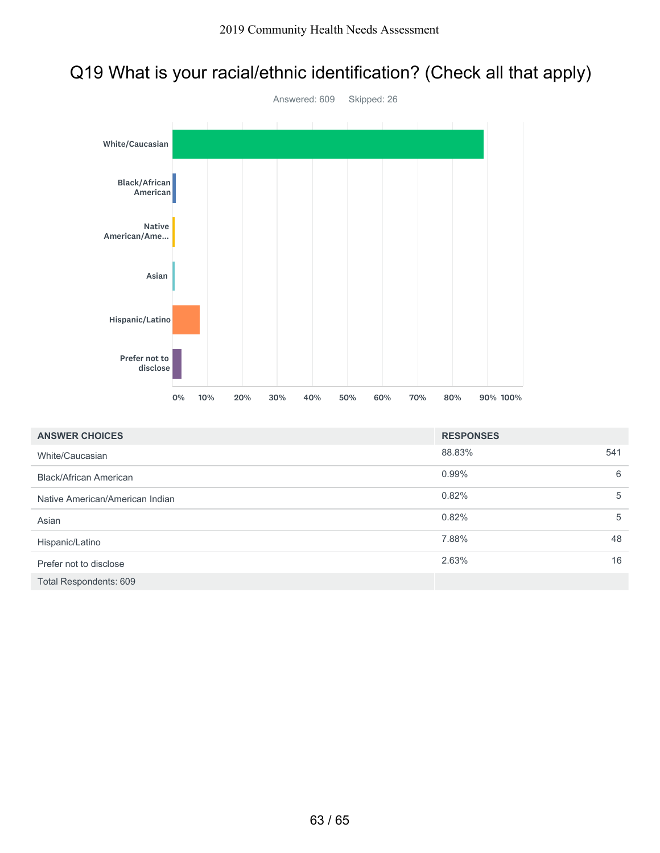# Q19 What is your racial/ethnic identification? (Check all that apply)



| <b>ANSWER CHOICES</b>           | <b>RESPONSES</b> |     |
|---------------------------------|------------------|-----|
| White/Caucasian                 | 88.83%           | 541 |
| <b>Black/African American</b>   | 0.99%            | 6   |
| Native American/American Indian | 0.82%            | 5   |
| Asian                           | 0.82%            | 5   |
| Hispanic/Latino                 | 7.88%            | 48  |
| Prefer not to disclose          | 2.63%            | 16  |
| Total Respondents: 609          |                  |     |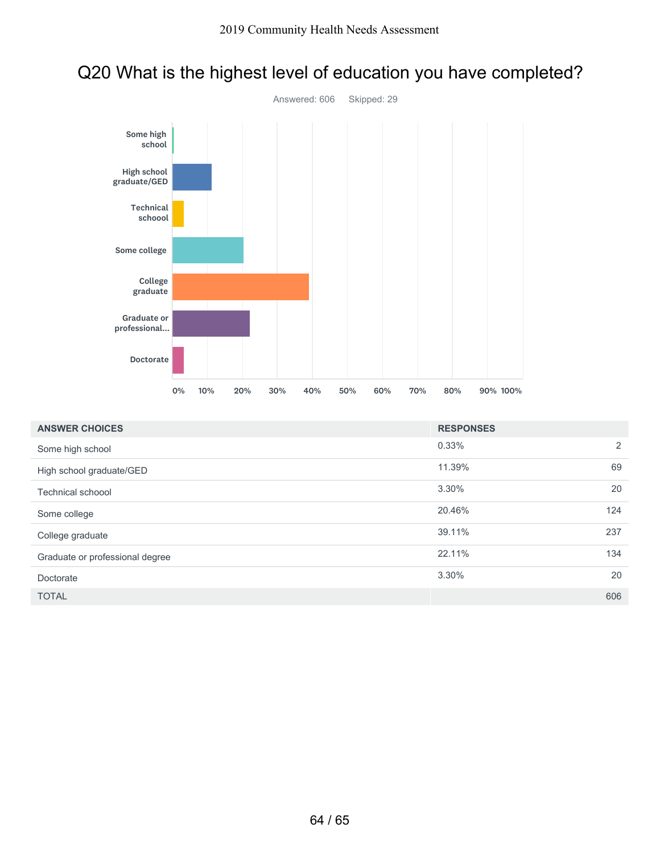

## Q20 What is the highest level of education you have completed?

| <b>ANSWER CHOICES</b>           | <b>RESPONSES</b> |     |
|---------------------------------|------------------|-----|
| Some high school                | 0.33%            | 2   |
| High school graduate/GED        | 11.39%           | 69  |
| <b>Technical schoool</b>        | 3.30%            | 20  |
| Some college                    | 20.46%           | 124 |
| College graduate                | 39.11%           | 237 |
| Graduate or professional degree | 22.11%           | 134 |
| Doctorate                       | 3.30%            | 20  |
| <b>TOTAL</b>                    |                  | 606 |